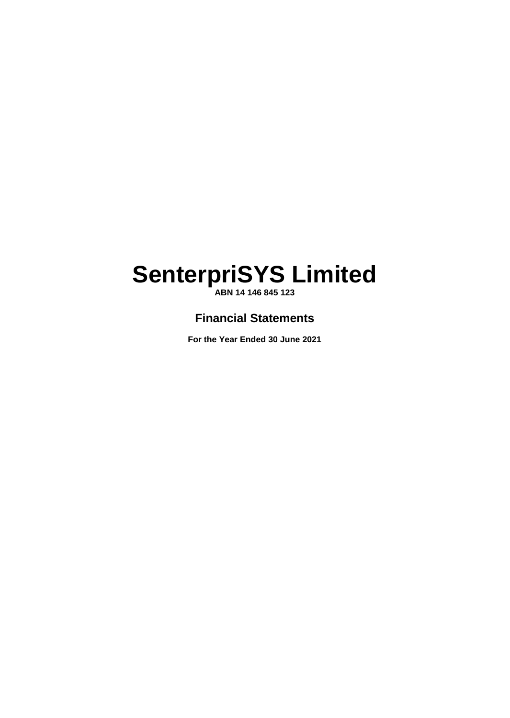**ABN 14 146 845 123**

# **Financial Statements**

**For the Year Ended 30 June 2021**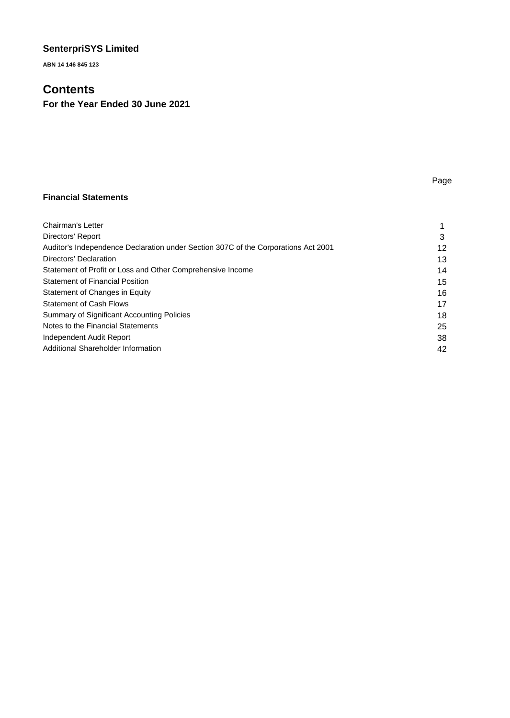**ABN 14 146 845 123**

# **Contents**

**For the Year Ended 30 June 2021** 

# Page

# **Financial Statements**

| Chairman's Letter                                                                  |    |
|------------------------------------------------------------------------------------|----|
| Directors' Report                                                                  | 3  |
| Auditor's Independence Declaration under Section 307C of the Corporations Act 2001 | 12 |
| Directors' Declaration                                                             | 13 |
| Statement of Profit or Loss and Other Comprehensive Income                         | 14 |
| <b>Statement of Financial Position</b>                                             | 15 |
| Statement of Changes in Equity                                                     | 16 |
| <b>Statement of Cash Flows</b>                                                     | 17 |
| Summary of Significant Accounting Policies                                         | 18 |
| Notes to the Financial Statements                                                  | 25 |
| Independent Audit Report                                                           | 38 |
| Additional Shareholder Information                                                 | 42 |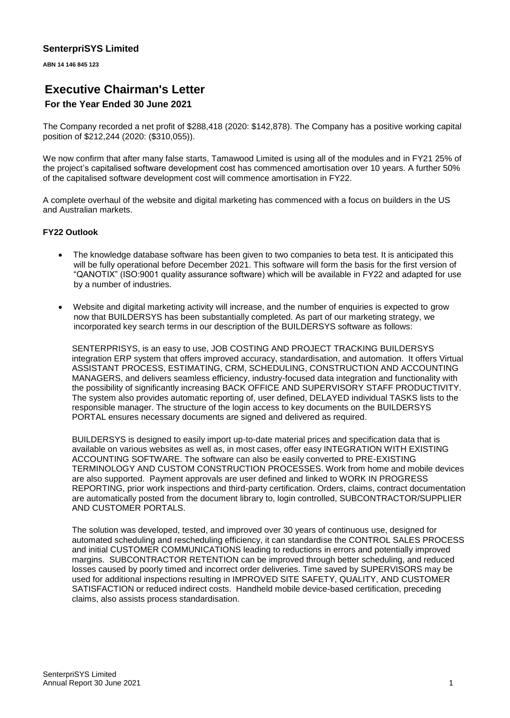**ABN 14 146 845 123**

# **Executive Chairman's Letter**

# **For the Year Ended 30 June 2021**

The Company recorded a net profit of \$288,418 (2020: \$142,878). The Company has a positive working capital position of \$212,244 (2020: (\$310,055)).

We now confirm that after many false starts, Tamawood Limited is using all of the modules and in FY21 25% of the project's capitalised software development cost has commenced amortisation over 10 years. A further 50% of the capitalised software development cost will commence amortisation in FY22.

A complete overhaul of the website and digital marketing has commenced with a focus on builders in the US and Australian markets.

### **FY22 Outlook**

- The knowledge database software has been given to two companies to beta test. It is anticipated this will be fully operational before December 2021. This software will form the basis for the first version of "QANOTIX" (ISO:9001 quality assurance software) which will be available in FY22 and adapted for use by a number of industries.
- Website and digital marketing activity will increase, and the number of enquiries is expected to grow now that BUILDERSYS has been substantially completed. As part of our marketing strategy, we incorporated key search terms in our description of the BUILDERSYS software as follows:

SENTERPRISYS, is an easy to use, JOB COSTING AND PROJECT TRACKING BUILDERSYS integration ERP system that offers improved accuracy, standardisation, and automation. It offers Virtual ASSISTANT PROCESS, ESTIMATING, CRM, SCHEDULING, CONSTRUCTION AND ACCOUNTING MANAGERS, and delivers seamless efficiency, industry-focused data integration and functionality with the possibility of significantly increasing BACK OFFICE AND SUPERVISORY STAFF PRODUCTIVITY. The system also provides automatic reporting of, user defined, DELAYED individual TASKS lists to the responsible manager. The structure of the login access to key documents on the BUILDERSYS PORTAL ensures necessary documents are signed and delivered as required.

BUILDERSYS is designed to easily import up-to-date material prices and specification data that is available on various websites as well as, in most cases, offer easy INTEGRATION WITH EXISTING ACCOUNTING SOFTWARE. The software can also be easily converted to PRE-EXISTING TERMINOLOGY AND CUSTOM CONSTRUCTION PROCESSES. Work from home and mobile devices are also supported. Payment approvals are user defined and linked to WORK IN PROGRESS REPORTING, prior work inspections and third-party certification. Orders, claims, contract documentation are automatically posted from the document library to, login controlled, SUBCONTRACTOR/SUPPLIER AND CUSTOMER PORTALS.

The solution was developed, tested, and improved over 30 years of continuous use, designed for automated scheduling and rescheduling efficiency, it can standardise the CONTROL SALES PROCESS and initial CUSTOMER COMMUNICATIONS leading to reductions in errors and potentially improved margins. SUBCONTRACTOR RETENTION can be improved through better scheduling, and reduced losses caused by poorly timed and incorrect order deliveries. Time saved by SUPERVISORS may be used for additional inspections resulting in IMPROVED SITE SAFETY, QUALITY, AND CUSTOMER SATISFACTION or reduced indirect costs. Handheld mobile device-based certification, preceding claims, also assists process standardisation.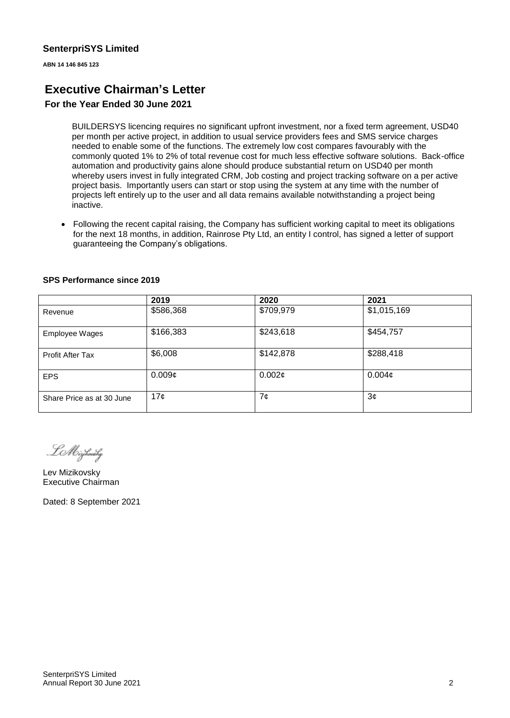**ABN 14 146 845 123**

# **Executive Chairman's Letter**

# **For the Year Ended 30 June 2021**

BUILDERSYS licencing requires no significant upfront investment, nor a fixed term agreement, USD40 per month per active project, in addition to usual service providers fees and SMS service charges needed to enable some of the functions. The extremely low cost compares favourably with the commonly quoted 1% to 2% of total revenue cost for much less effective software solutions. Back-office automation and productivity gains alone should produce substantial return on USD40 per month whereby users invest in fully integrated CRM, Job costing and project tracking software on a per active project basis. Importantly users can start or stop using the system at any time with the number of projects left entirely up to the user and all data remains available notwithstanding a project being inactive.

• Following the recent capital raising, the Company has sufficient working capital to meet its obligations for the next 18 months, in addition, Rainrose Pty Ltd, an entity I control, has signed a letter of support guaranteeing the Company's obligations.

|                           | 2019      | 2020      | 2021               |
|---------------------------|-----------|-----------|--------------------|
| Revenue                   | \$586,368 | \$709,979 | \$1,015,169        |
| <b>Employee Wages</b>     | \$166,383 | \$243,618 | \$454,757          |
| <b>Profit After Tax</b>   | \$6,008   | \$142,878 | \$288,418          |
| <b>EPS</b>                | 0.009c    | 0.002¢    | 0.004 <sub>c</sub> |
| Share Price as at 30 June | 17¢       | 7¢        | 3¢                 |

#### **SPS Performance since 2019**

LM izhonihy

Lev Mizikovsky Executive Chairman

Dated: 8 September 2021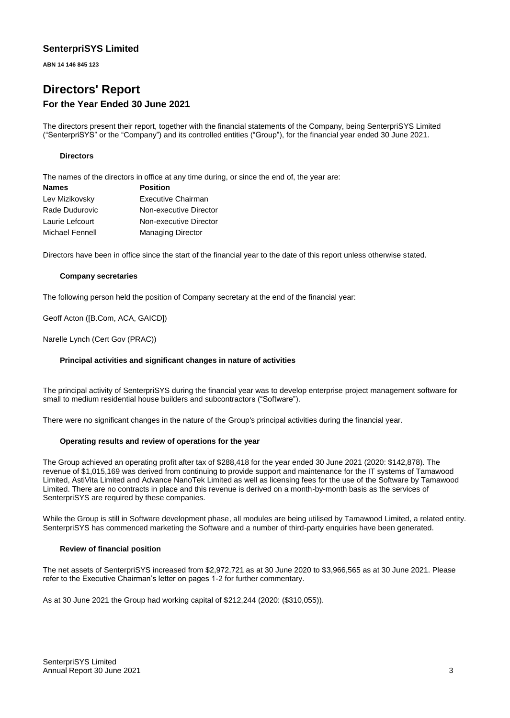**ABN 14 146 845 123**

# **Directors' Report For the Year Ended 30 June 2021**

The directors present their report, together with the financial statements of the Company, being SenterpriSYS Limited ("SenterpriSYS" or the "Company") and its controlled entities ("Group"), for the financial year ended 30 June 2021.

#### **Directors**

The names of the directors in office at any time during, or since the end of, the year are:

| <b>Names</b>    | <b>Position</b>          |
|-----------------|--------------------------|
| Lev Mizikovsky  | Executive Chairman       |
| Rade Dudurovic  | Non-executive Director   |
| Laurie Lefcourt | Non-executive Director   |
| Michael Fennell | <b>Managing Director</b> |

Directors have been in office since the start of the financial year to the date of this report unless otherwise stated.

#### **Company secretaries**

The following person held the position of Company secretary at the end of the financial year:

Geoff Acton ([B.Com, ACA, GAICD])

Narelle Lynch (Cert Gov (PRAC))

#### **Principal activities and significant changes in nature of activities**

The principal activity of SenterpriSYS during the financial year was to develop enterprise project management software for small to medium residential house builders and subcontractors ("Software").

There were no significant changes in the nature of the Group's principal activities during the financial year.

#### **Operating results and review of operations for the year**

The Group achieved an operating profit after tax of \$288,418 for the year ended 30 June 2021 (2020: \$142,878). The revenue of \$1,015,169 was derived from continuing to provide support and maintenance for the IT systems of Tamawood Limited, AstiVita Limited and Advance NanoTek Limited as well as licensing fees for the use of the Software by Tamawood Limited. There are no contracts in place and this revenue is derived on a month-by-month basis as the services of SenterpriSYS are required by these companies.

While the Group is still in Software development phase, all modules are being utilised by Tamawood Limited, a related entity. SenterpriSYS has commenced marketing the Software and a number of third-party enquiries have been generated.

#### **Review of financial position**

The net assets of SenterpriSYS increased from \$2,972,721 as at 30 June 2020 to \$3,966,565 as at 30 June 2021. Please refer to the Executive Chairman's letter on pages 1-2 for further commentary.

As at 30 June 2021 the Group had working capital of \$212,244 (2020: (\$310,055)).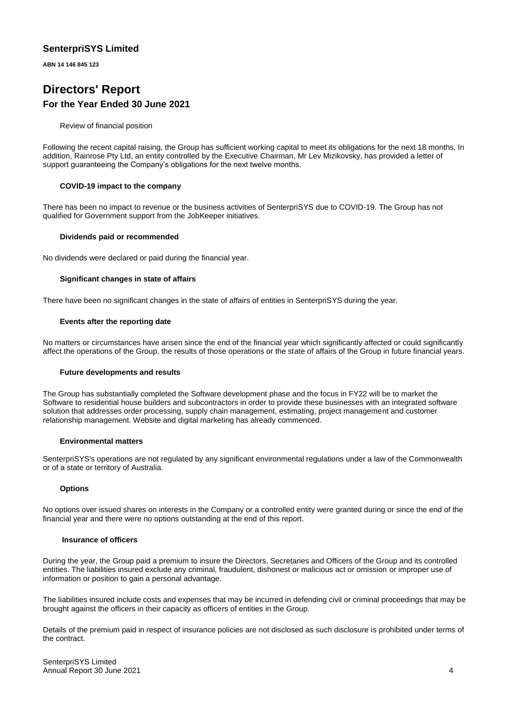**ABN 14 146 845 123**

# **Directors' Report For the Year Ended 30 June 2021**

Review of financial position

Following the recent capital raising, the Group has sufficient working capital to meet its obligations for the next 18 months. In addition, Rainrose Pty Ltd, an entity controlled by the Executive Chairman, Mr Lev Mizikovsky, has provided a letter of support guaranteeing the Company's obligations for the next twelve months.

#### **COVID-19 impact to the company**

There has been no impact to revenue or the business activities of SenterpriSYS due to COVID-19. The Group has not qualified for Government support from the JobKeeper initiatives.

#### **Dividends paid or recommended**

No dividends were declared or paid during the financial year.

#### **Significant changes in state of affairs**

There have been no significant changes in the state of affairs of entities in SenterpriSYS during the year.

#### **Events after the reporting date**

No matters or circumstances have arisen since the end of the financial year which significantly affected or could significantly affect the operations of the Group, the results of those operations or the state of affairs of the Group in future financial years.

#### **Future developments and results**

The Group has substantially completed the Software development phase and the focus in FY22 will be to market the Software to residential house builders and subcontractors in order to provide these businesses with an integrated software solution that addresses order processing, supply chain management, estimating, project management and customer relationship management. Website and digital marketing has already commenced.

#### **Environmental matters**

SenterpriSYS's operations are not regulated by any significant environmental regulations under a law of the Commonwealth or of a state or territory of Australia.

#### **Options**

No options over issued shares on interests in the Company or a controlled entity were granted during or since the end of the financial year and there were no options outstanding at the end of this report.

#### **Insurance of officers**

During the year, the Group paid a premium to insure the Directors, Secretaries and Officers of the Group and its controlled entities. The liabilities insured exclude any criminal, fraudulent, dishonest or malicious act or omission or improper use of information or position to gain a personal advantage.

The liabilities insured include costs and expenses that may be incurred in defending civil or criminal proceedings that may be brought against the officers in their capacity as officers of entities in the Group.

Details of the premium paid in respect of insurance policies are not disclosed as such disclosure is prohibited under terms of the contract.

SenterpriSYS Limited Annual Report 30 June 2021 4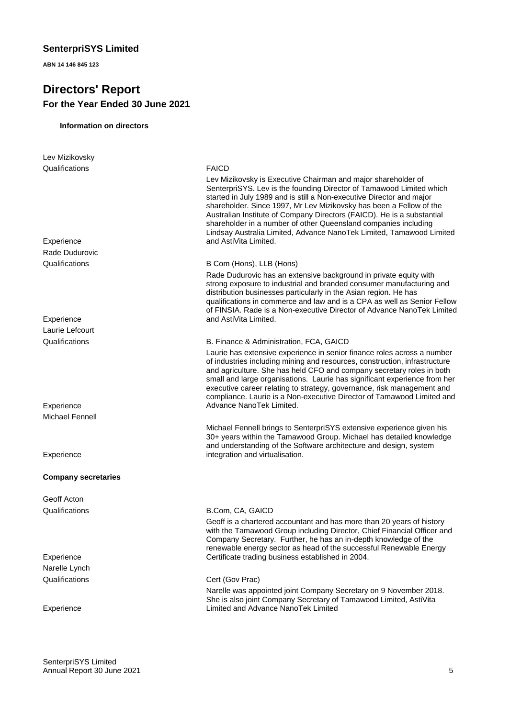**ABN 14 146 845 123**

# **Directors' Report For the Year Ended 30 June 2021**

#### **Information on directors**

| Lev Mizikovsky             |                                                                                                                                                                                                                                                                                                                                                                                                                                                                                                                                    |
|----------------------------|------------------------------------------------------------------------------------------------------------------------------------------------------------------------------------------------------------------------------------------------------------------------------------------------------------------------------------------------------------------------------------------------------------------------------------------------------------------------------------------------------------------------------------|
| Qualifications             | <b>FAICD</b>                                                                                                                                                                                                                                                                                                                                                                                                                                                                                                                       |
| Experience                 | Lev Mizikovsky is Executive Chairman and major shareholder of<br>SenterpriSYS. Lev is the founding Director of Tamawood Limited which<br>started in July 1989 and is still a Non-executive Director and major<br>shareholder. Since 1997, Mr Lev Mizikovsky has been a Fellow of the<br>Australian Institute of Company Directors (FAICD). He is a substantial<br>shareholder in a number of other Queensland companies including<br>Lindsay Australia Limited, Advance NanoTek Limited, Tamawood Limited<br>and AstiVita Limited. |
| Rade Dudurovic             |                                                                                                                                                                                                                                                                                                                                                                                                                                                                                                                                    |
| Qualifications             | B Com (Hons), LLB (Hons)                                                                                                                                                                                                                                                                                                                                                                                                                                                                                                           |
| Experience                 | Rade Dudurovic has an extensive background in private equity with<br>strong exposure to industrial and branded consumer manufacturing and<br>distribution businesses particularly in the Asian region. He has<br>qualifications in commerce and law and is a CPA as well as Senior Fellow<br>of FINSIA. Rade is a Non-executive Director of Advance NanoTek Limited<br>and AstiVita Limited.                                                                                                                                       |
| Laurie Lefcourt            |                                                                                                                                                                                                                                                                                                                                                                                                                                                                                                                                    |
| Qualifications             | B. Finance & Administration, FCA, GAICD                                                                                                                                                                                                                                                                                                                                                                                                                                                                                            |
|                            | Laurie has extensive experience in senior finance roles across a number                                                                                                                                                                                                                                                                                                                                                                                                                                                            |
|                            | of industries including mining and resources, construction, infrastructure<br>and agriculture. She has held CFO and company secretary roles in both<br>small and large organisations. Laurie has significant experience from her<br>executive career relating to strategy, governance, risk management and<br>compliance. Laurie is a Non-executive Director of Tamawood Limited and                                                                                                                                               |
| Experience                 | Advance NanoTek Limited.                                                                                                                                                                                                                                                                                                                                                                                                                                                                                                           |
| Michael Fennell            |                                                                                                                                                                                                                                                                                                                                                                                                                                                                                                                                    |
|                            | Michael Fennell brings to SenterpriSYS extensive experience given his<br>30+ years within the Tamawood Group. Michael has detailed knowledge<br>and understanding of the Software architecture and design, system                                                                                                                                                                                                                                                                                                                  |
| Experience                 | integration and virtualisation.                                                                                                                                                                                                                                                                                                                                                                                                                                                                                                    |
| <b>Company secretaries</b> |                                                                                                                                                                                                                                                                                                                                                                                                                                                                                                                                    |
| Geoff Acton                |                                                                                                                                                                                                                                                                                                                                                                                                                                                                                                                                    |
| Qualifications             | B.Com, CA, GAICD                                                                                                                                                                                                                                                                                                                                                                                                                                                                                                                   |
|                            | Geoff is a chartered accountant and has more than 20 years of history<br>with the Tamawood Group including Director, Chief Financial Officer and<br>Company Secretary. Further, he has an in-depth knowledge of the<br>renewable energy sector as head of the successful Renewable Energy                                                                                                                                                                                                                                          |
| Experience                 | Certificate trading business established in 2004.                                                                                                                                                                                                                                                                                                                                                                                                                                                                                  |
| Narelle Lynch              |                                                                                                                                                                                                                                                                                                                                                                                                                                                                                                                                    |
| Qualifications             | Cert (Gov Prac)                                                                                                                                                                                                                                                                                                                                                                                                                                                                                                                    |
|                            | Narelle was appointed joint Company Secretary on 9 November 2018.<br>She is also joint Company Secretary of Tamawood Limited, AstiVita                                                                                                                                                                                                                                                                                                                                                                                             |
| Experience                 | Limited and Advance NanoTek Limited                                                                                                                                                                                                                                                                                                                                                                                                                                                                                                |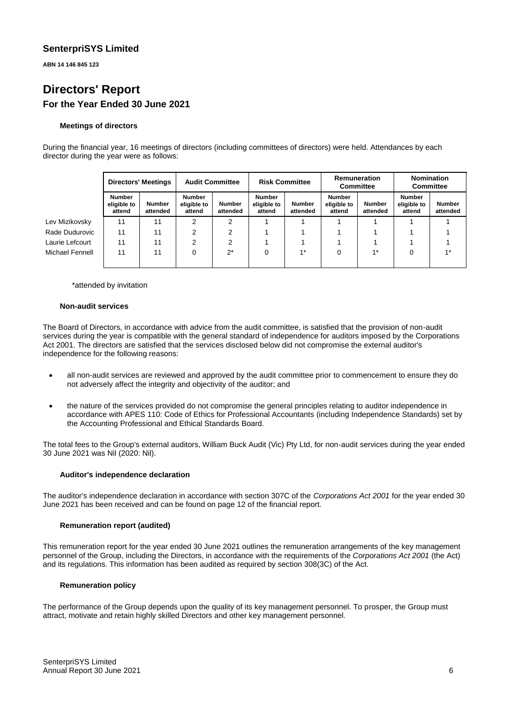**ABN 14 146 845 123**

# **Directors' Report For the Year Ended 30 June 2021**

#### **Meetings of directors**

During the financial year, 16 meetings of directors (including committees of directors) were held. Attendances by each director during the year were as follows:

|                 | <b>Directors' Meetings</b><br><b>Audit Committee</b> |                    | <b>Risk Committee</b>                  |                           | Remuneration<br>Committee              |                    | <b>Nomination</b><br><b>Committee</b>  |                           |                                        |                           |
|-----------------|------------------------------------------------------|--------------------|----------------------------------------|---------------------------|----------------------------------------|--------------------|----------------------------------------|---------------------------|----------------------------------------|---------------------------|
|                 | Number<br>eligible to<br>attend                      | Number<br>attended | <b>Number</b><br>eligible to<br>attend | <b>Number</b><br>attended | <b>Number</b><br>eligible to<br>attend | Number<br>attended | <b>Number</b><br>eligible to<br>attend | <b>Number</b><br>attended | <b>Number</b><br>eligible to<br>attend | <b>Number</b><br>attended |
| Lev Mizikovsky  | 11                                                   | 11                 | 2                                      | ◠                         |                                        |                    |                                        |                           |                                        |                           |
| Rade Dudurovic  | 11                                                   | 11                 | 2                                      |                           |                                        |                    |                                        |                           |                                        |                           |
| Laurie Lefcourt | 11                                                   | 11                 | 2                                      |                           |                                        |                    |                                        |                           |                                        |                           |
| Michael Fennell | 11                                                   | 11                 | 0                                      | $2^*$                     | 0                                      | $1*$               | 0                                      | $4*$                      | 0                                      | $4*$                      |

\*attended by invitation

#### **Non-audit services**

The Board of Directors, in accordance with advice from the audit committee, is satisfied that the provision of non-audit services during the year is compatible with the general standard of independence for auditors imposed by the Corporations Act 2001. The directors are satisfied that the services disclosed below did not compromise the external auditor's independence for the following reasons:

- all non-audit services are reviewed and approved by the audit committee prior to commencement to ensure they do not adversely affect the integrity and objectivity of the auditor; and
- the nature of the services provided do not compromise the general principles relating to auditor independence in accordance with APES 110: Code of Ethics for Professional Accountants (including Independence Standards) set by the Accounting Professional and Ethical Standards Board.

The total fees to the Group's external auditors, William Buck Audit (Vic) Pty Ltd, for non-audit services during the year ended 30 June 2021 was Nil (2020: Nil).

#### **Auditor's independence declaration**

The auditor's independence declaration in accordance with section 307C of the *Corporations Act 2001* for the year ended 30 June 2021 has been received and can be found on page 12 of the financial report.

#### **Remuneration report (audited)**

This remuneration report for the year ended 30 June 2021 outlines the remuneration arrangements of the key management personnel of the Group, including the Directors, in accordance with the requirements of the *Corporations Act 2001* (the Act) and its regulations. This information has been audited as required by section 308(3C) of the Act.

#### **Remuneration policy**

The performance of the Group depends upon the quality of its key management personnel. To prosper, the Group must attract, motivate and retain highly skilled Directors and other key management personnel.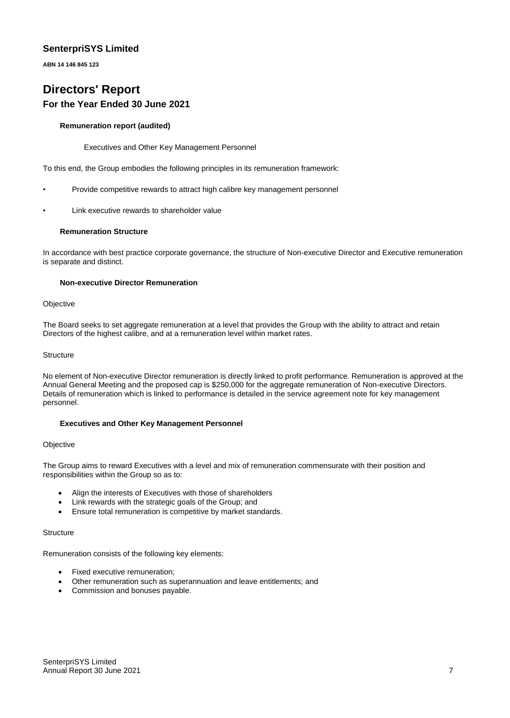**ABN 14 146 845 123**

# **Directors' Report For the Year Ended 30 June 2021**

#### **Remuneration report (audited)**

Executives and Other Key Management Personnel

To this end, the Group embodies the following principles in its remuneration framework:

- Provide competitive rewards to attract high calibre key management personnel
- Link executive rewards to shareholder value

#### **Remuneration Structure**

In accordance with best practice corporate governance, the structure of Non-executive Director and Executive remuneration is separate and distinct.

#### **Non-executive Director Remuneration**

#### **Objective**

The Board seeks to set aggregate remuneration at a level that provides the Group with the ability to attract and retain Directors of the highest calibre, and at a remuneration level within market rates.

#### **Structure**

No element of Non-executive Director remuneration is directly linked to profit performance. Remuneration is approved at the Annual General Meeting and the proposed cap is \$250,000 for the aggregate remuneration of Non-executive Directors. Details of remuneration which is linked to performance is detailed in the service agreement note for key management personnel.

#### **Executives and Other Key Management Personnel**

#### **Objective**

The Group aims to reward Executives with a level and mix of remuneration commensurate with their position and responsibilities within the Group so as to:

- Align the interests of Executives with those of shareholders
- Link rewards with the strategic goals of the Group; and
- Ensure total remuneration is competitive by market standards.

#### **Structure**

Remuneration consists of the following key elements:

- Fixed executive remuneration;
- Other remuneration such as superannuation and leave entitlements; and
- Commission and bonuses payable.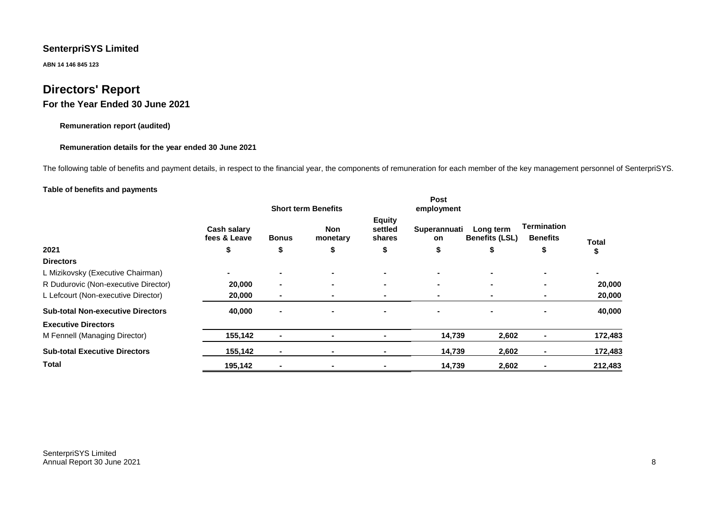**ABN 14 146 845 123**

# **Directors' Report**

# **For the Year Ended 30 June 2021**

#### **Remuneration report (audited)**

#### **Remuneration details for the year ended 30 June 2021**

The following table of benefits and payment details, in respect to the financial year, the components of remuneration for each member of the key management personnel of SenterpriSYS.

#### **Table of benefits and payments**

|                                          | <b>Short term Benefits</b>  |                          |                        |                                    | Post<br>employment |                                    |                                       |                |
|------------------------------------------|-----------------------------|--------------------------|------------------------|------------------------------------|--------------------|------------------------------------|---------------------------------------|----------------|
|                                          | Cash salary<br>fees & Leave | <b>Bonus</b>             | <b>Non</b><br>monetary | <b>Equity</b><br>settled<br>shares | Superannuati<br>on | Long term<br><b>Benefits (LSL)</b> | <b>Termination</b><br><b>Benefits</b> | Total          |
| 2021                                     | \$                          | \$                       | ъ                      | \$                                 | \$                 | \$                                 | \$                                    | J              |
| <b>Directors</b>                         |                             |                          |                        |                                    |                    |                                    |                                       |                |
| L Mizikovsky (Executive Chairman)        |                             | $\blacksquare$           | $\blacksquare$         |                                    | ۰.                 |                                    |                                       | $\blacksquare$ |
| R Dudurovic (Non-executive Director)     | 20,000                      | $\blacksquare$           | $\blacksquare$         | $\blacksquare$                     |                    |                                    |                                       | 20,000         |
| L Lefcourt (Non-executive Director)      | 20,000                      | $\overline{\phantom{a}}$ | $\blacksquare$         |                                    | ۰                  |                                    |                                       | 20,000         |
| <b>Sub-total Non-executive Directors</b> | 40,000                      | $\blacksquare$           | -                      |                                    |                    |                                    |                                       | 40,000         |
| <b>Executive Directors</b>               |                             |                          |                        |                                    |                    |                                    |                                       |                |
| M Fennell (Managing Director)            | 155,142                     | $\blacksquare$           | ۰                      |                                    | 14,739             | 2,602                              |                                       | 172,483        |
| <b>Sub-total Executive Directors</b>     | 155,142                     | $\blacksquare$           | $\blacksquare$         |                                    | 14,739             | 2,602                              |                                       | 172,483        |
| <b>Total</b>                             | 195,142                     |                          |                        |                                    | 14,739             | 2,602                              |                                       | 212,483        |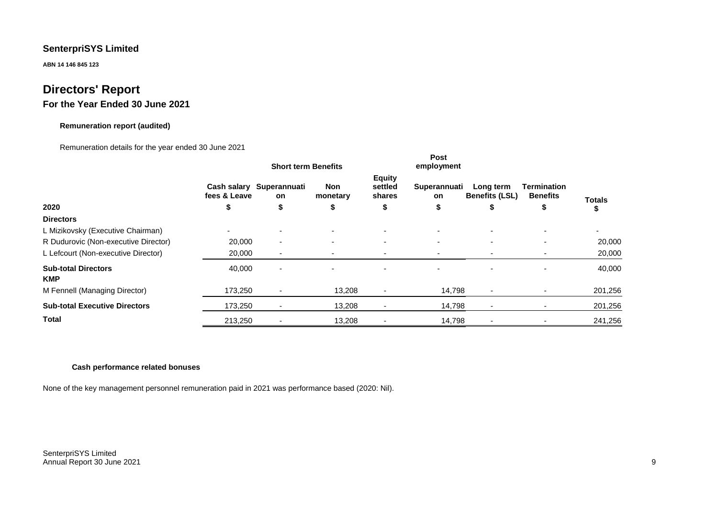**ABN 14 146 845 123**

# **Directors' Report**

# **For the Year Ended 30 June 2021**

#### **Remuneration report (audited)**

#### Remuneration details for the year ended 30 June 2021

|                                          | <b>Short term Benefits</b> |                                |                          |                                    | Post<br>employment |                                    |                                |         |
|------------------------------------------|----------------------------|--------------------------------|--------------------------|------------------------------------|--------------------|------------------------------------|--------------------------------|---------|
|                                          | fees & Leave               | Cash salary Superannuati<br>on | <b>Non</b><br>monetary   | <b>Equity</b><br>settled<br>shares | Superannuati<br>on | Long term<br><b>Benefits (LSL)</b> | Termination<br><b>Benefits</b> | Totals  |
| 2020                                     | \$                         | \$                             | \$                       | \$                                 | \$                 | \$                                 | \$                             |         |
| <b>Directors</b>                         |                            |                                |                          |                                    |                    |                                    |                                |         |
| L Mizikovsky (Executive Chairman)        |                            |                                | $\overline{\phantom{0}}$ |                                    |                    |                                    |                                | ٠       |
| R Dudurovic (Non-executive Director)     | 20,000                     | $\overline{\phantom{a}}$       | $\sim$                   | $\sim$                             | ۰.                 | $\overline{\phantom{0}}$           |                                | 20,000  |
| L Lefcourt (Non-executive Director)      | 20,000                     | $\overline{\phantom{a}}$       | -                        |                                    |                    |                                    |                                | 20,000  |
| <b>Sub-total Directors</b><br><b>KMP</b> | 40,000                     | $\overline{\phantom{a}}$       | $\overline{\phantom{0}}$ |                                    |                    |                                    |                                | 40,000  |
| M Fennell (Managing Director)            | 173,250                    | $\overline{\phantom{a}}$       | 13,208                   | $\overline{\phantom{a}}$           | 14,798             | $\sim$                             |                                | 201,256 |
| <b>Sub-total Executive Directors</b>     | 173,250                    |                                | 13,208                   | $\overline{\phantom{a}}$           | 14,798             | ٠                                  |                                | 201,256 |
| <b>Total</b>                             | 213,250                    |                                | 13,208                   |                                    | 14,798             |                                    |                                | 241,256 |

#### **Cash performance related bonuses**

None of the key management personnel remuneration paid in 2021 was performance based (2020: Nil).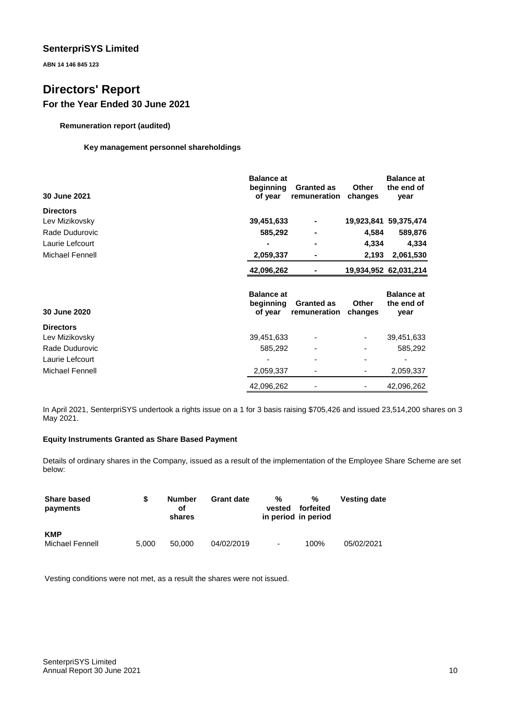**ABN 14 146 845 123**

# **Directors' Report For the Year Ended 30 June 2021**

**Remuneration report (audited)**

#### **Key management personnel shareholdings**

| 30 June 2021     | <b>Balance at</b><br>beginning<br>of year | <b>Granted as</b><br>remuneration | <b>Other</b><br>changes | <b>Balance at</b><br>the end of<br>year |
|------------------|-------------------------------------------|-----------------------------------|-------------------------|-----------------------------------------|
| <b>Directors</b> |                                           |                                   |                         |                                         |
| Lev Mizikovsky   | 39,451,633                                |                                   | 19,923,841              | 59,375,474                              |
| Rade Dudurovic   | 585,292                                   |                                   | 4,584                   | 589,876                                 |
| Laurie Lefcourt  |                                           | -                                 | 4,334                   | 4,334                                   |
| Michael Fennell  | 2,059,337                                 |                                   | 2,193                   | 2,061,530                               |
|                  | 42,096,262                                |                                   |                         | 19,934,952 62,031,214                   |
| 30 June 2020     | <b>Balance at</b><br>beginning<br>of year | <b>Granted as</b><br>remuneration | <b>Other</b><br>changes | <b>Balance at</b><br>the end of<br>year |
| <b>Directors</b> |                                           |                                   |                         |                                         |
| Lev Mizikovsky   | 39,451,633                                |                                   | ۰                       | 39,451,633                              |
| Rade Dudurovic   | 585,292                                   |                                   | ۰                       | 585,292                                 |
| Laurie Lefcourt  |                                           |                                   |                         |                                         |
| Michael Fennell  | 2,059,337                                 |                                   |                         | 2,059,337                               |
|                  | 42,096,262                                |                                   | ٠                       | 42,096,262                              |

In April 2021, SenterpriSYS undertook a rights issue on a 1 for 3 basis raising \$705,426 and issued 23,514,200 shares on 3 May 2021.

### **Equity Instruments Granted as Share Based Payment**

Details of ordinary shares in the Company, issued as a result of the implementation of the Employee Share Scheme are set below:

| <b>Share based</b><br>payments | S     | Number<br>оf<br>shares | <b>Grant date</b> | %<br>vested<br>in period in period | %<br>forfeited | <b>Vesting date</b> |
|--------------------------------|-------|------------------------|-------------------|------------------------------------|----------------|---------------------|
| <b>KMP</b><br>Michael Fennell  | 5.000 | 50,000                 | 04/02/2019        | $\overline{\phantom{a}}$           | 100%           | 05/02/2021          |

Vesting conditions were not met, as a result the shares were not issued.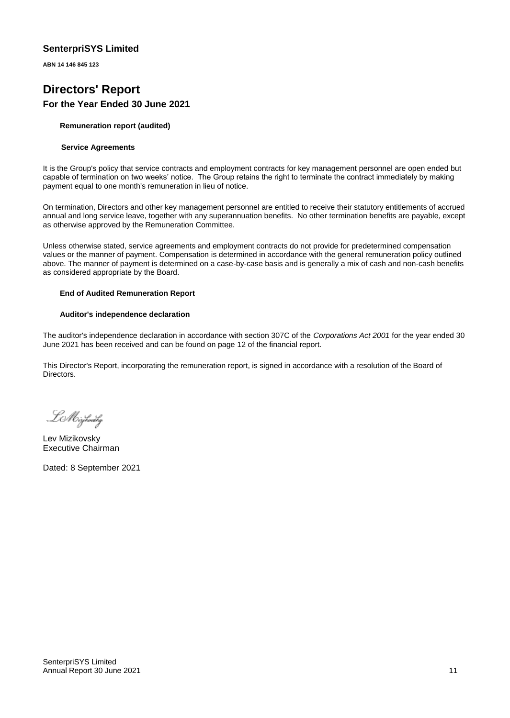**ABN 14 146 845 123**

# **Directors' Report For the Year Ended 30 June 2021**

#### **Remuneration report (audited)**

#### **Service Agreements**

It is the Group's policy that service contracts and employment contracts for key management personnel are open ended but capable of termination on two weeks' notice. The Group retains the right to terminate the contract immediately by making payment equal to one month's remuneration in lieu of notice.

On termination, Directors and other key management personnel are entitled to receive their statutory entitlements of accrued annual and long service leave, together with any superannuation benefits. No other termination benefits are payable, except as otherwise approved by the Remuneration Committee.

Unless otherwise stated, service agreements and employment contracts do not provide for predetermined compensation values or the manner of payment. Compensation is determined in accordance with the general remuneration policy outlined above. The manner of payment is determined on a case-by-case basis and is generally a mix of cash and non-cash benefits as considered appropriate by the Board.

#### **End of Audited Remuneration Report**

#### **Auditor's independence declaration**

The auditor's independence declaration in accordance with section 307C of the *Corporations Act 2001* for the year ended 30 June 2021 has been received and can be found on page 12 of the financial report.

This Director's Report, incorporating the remuneration report, is signed in accordance with a resolution of the Board of Directors.

. LA Oizikovsky

Lev Mizikovsky Executive Chairman

Dated: 8 September 2021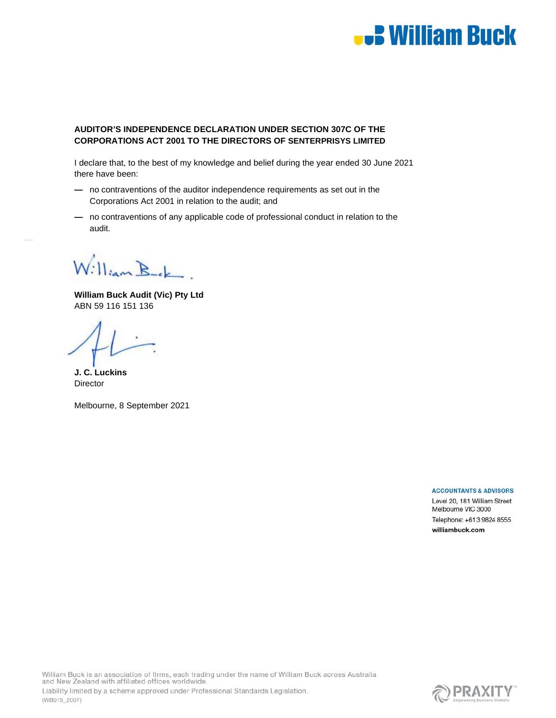# **B William Buck**

#### **AUDITOR'S INDEPENDENCE DECLARATION UNDER SECTION 307C OF THE CORPORATIONS ACT 2001 TO THE DIRECTORS OF SENTERPRISYS LIMITED**

I declare that, to the best of my knowledge and belief during the year ended 30 June 2021 there have been:

- no contraventions of the auditor independence requirements as set out in the Corporations Act 2001 in relation to the audit; and
- no contraventions of any applicable code of professional conduct in relation to the audit.

William Bek

**William Buck Audit (Vic) Pty Ltd**  ABN 59 116 151 136

**J. C. Luckins Director** 

Melbourne, 8 September 2021

#### **ACCOUNTANTS & ADVISORS**

Level 20, 181 William Street Melbourne VIC 3000 Telephone: +61 3 9824 8555 williambuck.com

William Buck is an association of firms, each trading under the name of William Buck across Australia and New Zealand with affiliated offices worldwide. Liability limited by a scheme approved under Professional Standards Legislation. (WB015\_2007)

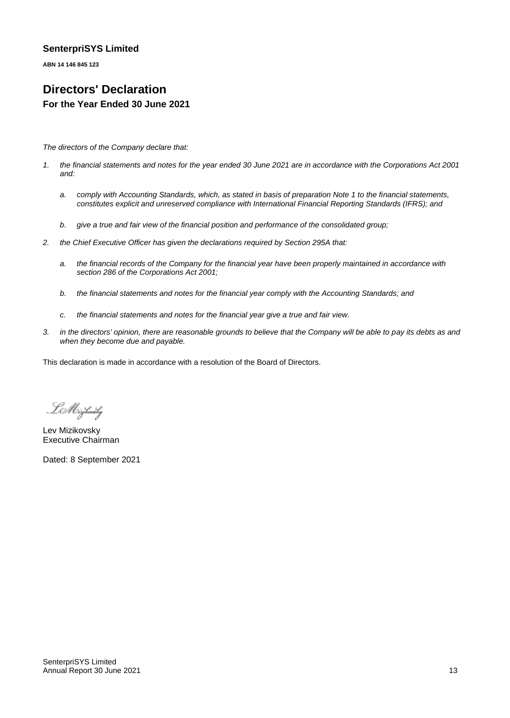**ABN 14 146 845 123**

# **Directors' Declaration For the Year Ended 30 June 2021**

*The directors of the Company declare that:*

- *1. the financial statements and notes for the year ended 30 June 2021 are in accordance with the Corporations Act 2001 and:*
	- *a. comply with Accounting Standards, which, as stated in basis of preparation Note 1 to the financial statements, constitutes explicit and unreserved compliance with International Financial Reporting Standards (IFRS); and*
	- *b. give a true and fair view of the financial position and performance of the consolidated group;*
- *2. the Chief Executive Officer has given the declarations required by Section 295A that:*
	- *a. the financial records of the Company for the financial year have been properly maintained in accordance with section 286 of the Corporations Act 2001;*
	- *b. the financial statements and notes for the financial year comply with the Accounting Standards; and*
	- *c. the financial statements and notes for the financial year give a true and fair view.*
- *3. in the directors' opinion, there are reasonable grounds to believe that the Company will be able to pay its debts as and when they become due and payable.*

This declaration is made in accordance with a resolution of the Board of Directors.

LA Oirjhowsky

Lev Mizikovsky Executive Chairman

Dated: 8 September 2021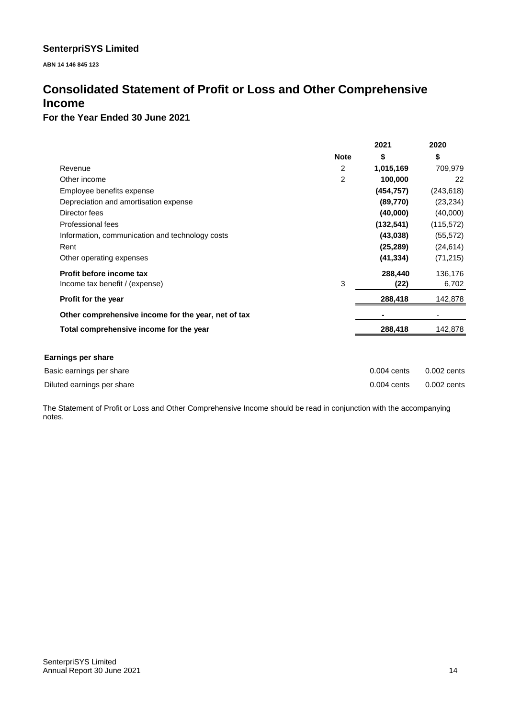**ABN 14 146 845 123**

# **Consolidated Statement of Profit or Loss and Other Comprehensive Income**

### **For the Year Ended 30 June 2021**

|                                                     |                | 2021          | 2020          |
|-----------------------------------------------------|----------------|---------------|---------------|
|                                                     | <b>Note</b>    | \$            | \$            |
| Revenue                                             | 2              | 1,015,169     | 709,979       |
| Other income                                        | $\overline{2}$ | 100,000       | 22            |
| Employee benefits expense                           |                | (454, 757)    | (243, 618)    |
| Depreciation and amortisation expense               |                | (89, 770)     | (23, 234)     |
| Director fees                                       |                | (40,000)      | (40,000)      |
| Professional fees                                   |                | (132, 541)    | (115, 572)    |
| Information, communication and technology costs     |                | (43,038)      | (55, 572)     |
| Rent                                                |                | (25, 289)     | (24, 614)     |
| Other operating expenses                            |                | (41, 334)     | (71, 215)     |
| Profit before income tax                            |                | 288,440       | 136,176       |
| Income tax benefit / (expense)                      | 3              | (22)          | 6,702         |
| Profit for the year                                 |                | 288,418       | 142,878       |
| Other comprehensive income for the year, net of tax |                |               |               |
| Total comprehensive income for the year             |                | 288,418       | 142,878       |
| <b>Earnings per share</b>                           |                |               |               |
| Basic earnings per share                            |                | $0.004$ cents | $0.002$ cents |
| Diluted earnings per share                          |                | $0.004$ cents | $0.002$ cents |

The Statement of Profit or Loss and Other Comprehensive Income should be read in conjunction with the accompanying notes.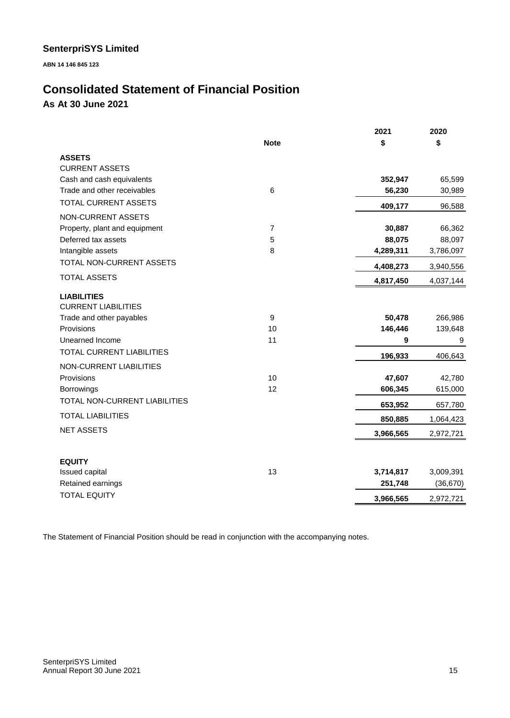**ABN 14 146 845 123**

# **Consolidated Statement of Financial Position As At 30 June 2021**

|                                |                | 2021      | 2020      |
|--------------------------------|----------------|-----------|-----------|
|                                | <b>Note</b>    | \$        | \$        |
| <b>ASSETS</b>                  |                |           |           |
| <b>CURRENT ASSETS</b>          |                |           |           |
| Cash and cash equivalents      |                | 352,947   | 65,599    |
| Trade and other receivables    | 6              | 56,230    | 30,989    |
| TOTAL CURRENT ASSETS           |                | 409,177   | 96,588    |
| <b>NON-CURRENT ASSETS</b>      |                |           |           |
| Property, plant and equipment  | $\overline{7}$ | 30,887    | 66,362    |
| Deferred tax assets            | 5              | 88,075    | 88,097    |
| Intangible assets              | 8              | 4,289,311 | 3,786,097 |
| TOTAL NON-CURRENT ASSETS       |                | 4,408,273 | 3,940,556 |
| <b>TOTAL ASSETS</b>            |                | 4,817,450 | 4,037,144 |
| <b>LIABILITIES</b>             |                |           |           |
| <b>CURRENT LIABILITIES</b>     |                |           |           |
| Trade and other payables       | $\mathsf g$    | 50,478    | 266,986   |
| Provisions                     | 10             | 146,446   | 139,648   |
| Unearned Income                | 11             | 9         | 9         |
| TOTAL CURRENT LIABILITIES      |                | 196,933   | 406,643   |
| <b>NON-CURRENT LIABILITIES</b> |                |           |           |
| Provisions                     | 10             | 47,607    | 42,780    |
| <b>Borrowings</b>              | 12             | 606,345   | 615,000   |
| TOTAL NON-CURRENT LIABILITIES  |                | 653,952   | 657,780   |
| <b>TOTAL LIABILITIES</b>       |                | 850,885   | 1,064,423 |
| <b>NET ASSETS</b>              |                | 3,966,565 | 2,972,721 |
|                                |                |           |           |
| <b>EQUITY</b>                  |                |           |           |
| Issued capital                 | 13             | 3,714,817 | 3,009,391 |
| Retained earnings              |                | 251,748   | (36, 670) |
| <b>TOTAL EQUITY</b>            |                | 3,966,565 | 2,972,721 |

The Statement of Financial Position should be read in conjunction with the accompanying notes.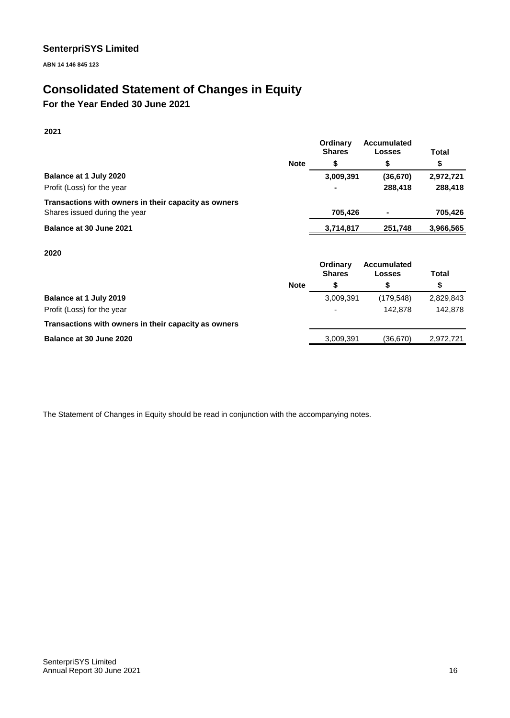**ABN 14 146 845 123**

# **Consolidated Statement of Changes in Equity**

**For the Year Ended 30 June 2021**

**2021**

|                                                      |             | Ordinary<br><b>Shares</b> | <b>Accumulated</b><br><b>Losses</b> | Total     |
|------------------------------------------------------|-------------|---------------------------|-------------------------------------|-----------|
|                                                      | <b>Note</b> | S                         | \$                                  | \$        |
| Balance at 1 July 2020                               |             | 3,009,391                 | (36, 670)                           | 2,972,721 |
| Profit (Loss) for the year                           |             | $\overline{\phantom{0}}$  | 288,418                             | 288,418   |
| Transactions with owners in their capacity as owners |             |                           |                                     |           |
| Shares issued during the year                        |             | 705.426                   |                                     | 705.426   |
| Balance at 30 June 2021                              |             | 3,714,817                 | 251.748                             | 3,966,565 |

**2020**

|                                                      |             | Ordinary<br><b>Shares</b> | <b>Accumulated</b><br>Losses | Total     |
|------------------------------------------------------|-------------|---------------------------|------------------------------|-----------|
|                                                      | <b>Note</b> |                           |                              | \$        |
| Balance at 1 July 2019                               |             | 3,009,391                 | (179, 548)                   | 2,829,843 |
| Profit (Loss) for the year                           |             | $\overline{\phantom{0}}$  | 142.878                      | 142.878   |
| Transactions with owners in their capacity as owners |             |                           |                              |           |
| Balance at 30 June 2020                              |             | 3,009,391                 | (36.670)                     | 2.972.721 |
|                                                      |             |                           |                              |           |

The Statement of Changes in Equity should be read in conjunction with the accompanying notes.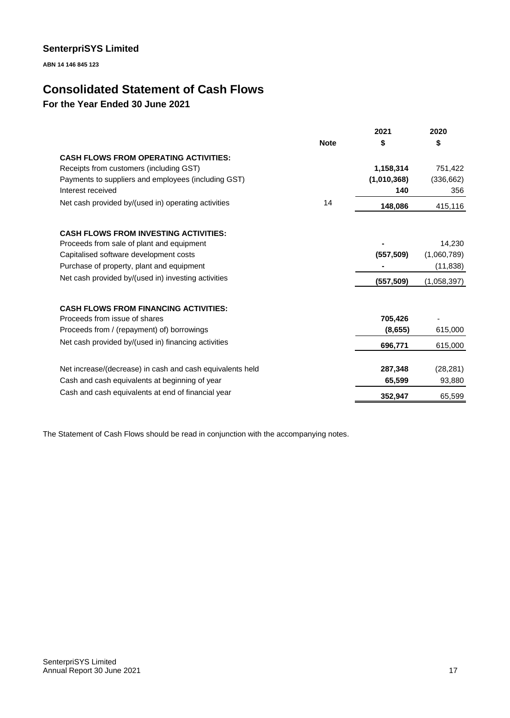**ABN 14 146 845 123**

# **Consolidated Statement of Cash Flows**

# **For the Year Ended 30 June 2021**

|                                                           |             | 2021        | 2020        |
|-----------------------------------------------------------|-------------|-------------|-------------|
|                                                           | <b>Note</b> | \$          | \$          |
| <b>CASH FLOWS FROM OPERATING ACTIVITIES:</b>              |             |             |             |
| Receipts from customers (including GST)                   |             | 1,158,314   | 751,422     |
| Payments to suppliers and employees (including GST)       |             | (1,010,368) | (336, 662)  |
| Interest received                                         |             | 140         | 356         |
| Net cash provided by/(used in) operating activities       | 14          | 148,086     | 415,116     |
|                                                           |             |             |             |
| <b>CASH FLOWS FROM INVESTING ACTIVITIES:</b>              |             |             |             |
| Proceeds from sale of plant and equipment                 |             |             | 14,230      |
| Capitalised software development costs                    |             | (557, 509)  | (1,060,789) |
| Purchase of property, plant and equipment                 |             |             | (11, 838)   |
| Net cash provided by/(used in) investing activities       |             | (557,509)   | (1,058,397) |
|                                                           |             |             |             |
| <b>CASH FLOWS FROM FINANCING ACTIVITIES:</b>              |             |             |             |
| Proceeds from issue of shares                             |             | 705,426     |             |
| Proceeds from / (repayment) of) borrowings                |             | (8,655)     | 615,000     |
| Net cash provided by/(used in) financing activities       |             | 696,771     | 615,000     |
|                                                           |             |             |             |
| Net increase/(decrease) in cash and cash equivalents held |             | 287,348     | (28, 281)   |
| Cash and cash equivalents at beginning of year            |             | 65,599      | 93,880      |
| Cash and cash equivalents at end of financial year        |             | 352,947     | 65,599      |

The Statement of Cash Flows should be read in conjunction with the accompanying notes.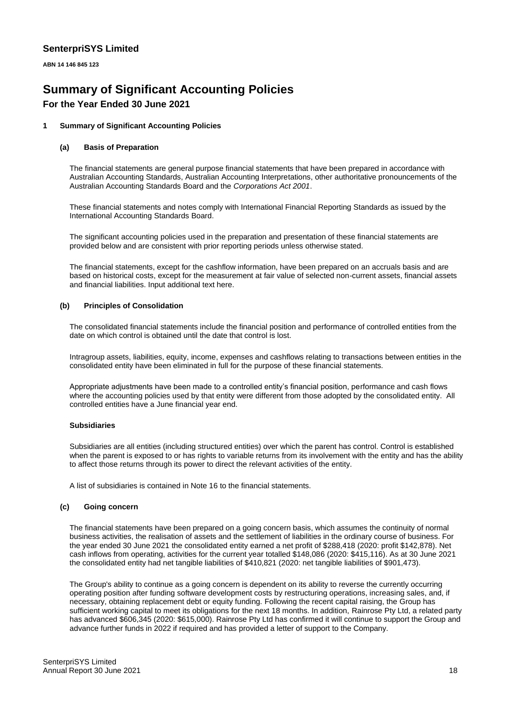**ABN 14 146 845 123**

# **Summary of Significant Accounting Policies For the Year Ended 30 June 2021**

#### **1 Summary of Significant Accounting Policies**

#### **(a) Basis of Preparation**

The financial statements are general purpose financial statements that have been prepared in accordance with Australian Accounting Standards, Australian Accounting Interpretations, other authoritative pronouncements of the Australian Accounting Standards Board and the *Corporations Act 2001*.

These financial statements and notes comply with International Financial Reporting Standards as issued by the International Accounting Standards Board.

The significant accounting policies used in the preparation and presentation of these financial statements are provided below and are consistent with prior reporting periods unless otherwise stated.

The financial statements, except for the cashflow information, have been prepared on an accruals basis and are based on historical costs, except for the measurement at fair value of selected non-current assets, financial assets and financial liabilities. Input additional text here.

#### **(b) Principles of Consolidation**

The consolidated financial statements include the financial position and performance of controlled entities from the date on which control is obtained until the date that control is lost.

Intragroup assets, liabilities, equity, income, expenses and cashflows relating to transactions between entities in the consolidated entity have been eliminated in full for the purpose of these financial statements.

Appropriate adjustments have been made to a controlled entity's financial position, performance and cash flows where the accounting policies used by that entity were different from those adopted by the consolidated entity. All controlled entities have a June financial year end.

#### **Subsidiaries**

Subsidiaries are all entities (including structured entities) over which the parent has control. Control is established when the parent is exposed to or has rights to variable returns from its involvement with the entity and has the ability to affect those returns through its power to direct the relevant activities of the entity.

A list of subsidiaries is contained in Note 16 to the financial statements.

#### **(c) Going concern**

The financial statements have been prepared on a going concern basis, which assumes the continuity of normal business activities, the realisation of assets and the settlement of liabilities in the ordinary course of business. For the year ended 30 June 2021 the consolidated entity earned a net profit of \$288,418 (2020: profit \$142,878). Net cash inflows from operating, activities for the current year totalled \$148,086 (2020: \$415,116). As at 30 June 2021 the consolidated entity had net tangible liabilities of \$410,821 (2020: net tangible liabilities of \$901,473).

The Group's ability to continue as a going concern is dependent on its ability to reverse the currently occurring operating position after funding software development costs by restructuring operations, increasing sales, and, if necessary, obtaining replacement debt or equity funding. Following the recent capital raising, the Group has sufficient working capital to meet its obligations for the next 18 months. In addition, Rainrose Pty Ltd, a related party has advanced \$606,345 (2020: \$615,000). Rainrose Pty Ltd has confirmed it will continue to support the Group and advance further funds in 2022 if required and has provided a letter of support to the Company.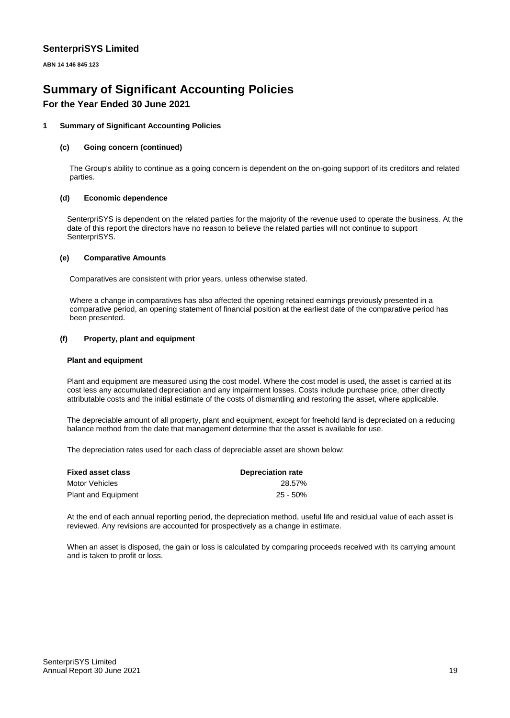**ABN 14 146 845 123**

# **Summary of Significant Accounting Policies**

# **For the Year Ended 30 June 2021**

#### **1 Summary of Significant Accounting Policies**

#### **(c) Going concern (continued)**

The Group's ability to continue as a going concern is dependent on the on-going support of its creditors and related parties.

#### **(d) Economic dependence**

SenterpriSYS is dependent on the related parties for the majority of the revenue used to operate the business. At the date of this report the directors have no reason to believe the related parties will not continue to support SenterpriSYS.

#### **(e) Comparative Amounts**

Comparatives are consistent with prior years, unless otherwise stated.

Where a change in comparatives has also affected the opening retained earnings previously presented in a comparative period, an opening statement of financial position at the earliest date of the comparative period has been presented.

#### **(f) Property, plant and equipment**

#### **Plant and equipment**

Plant and equipment are measured using the cost model. Where the cost model is used, the asset is carried at its cost less any accumulated depreciation and any impairment losses. Costs include purchase price, other directly attributable costs and the initial estimate of the costs of dismantling and restoring the asset, where applicable.

The depreciable amount of all property, plant and equipment, except for freehold land is depreciated on a reducing balance method from the date that management determine that the asset is available for use.

The depreciation rates used for each class of depreciable asset are shown below:

| <b>Fixed asset class</b>   | <b>Depreciation rate</b> |  |
|----------------------------|--------------------------|--|
| Motor Vehicles             | 28.57%                   |  |
| <b>Plant and Equipment</b> | 25 - 50%                 |  |

At the end of each annual reporting period, the depreciation method, useful life and residual value of each asset is reviewed. Any revisions are accounted for prospectively as a change in estimate.

When an asset is disposed, the gain or loss is calculated by comparing proceeds received with its carrying amount and is taken to profit or loss.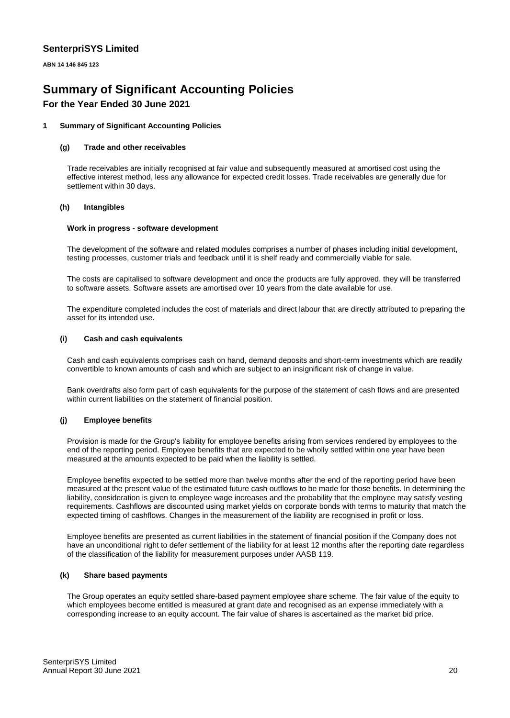**ABN 14 146 845 123**

# **Summary of Significant Accounting Policies For the Year Ended 30 June 2021**

#### **1 Summary of Significant Accounting Policies**

#### **(g) Trade and other receivables**

Trade receivables are initially recognised at fair value and subsequently measured at amortised cost using the effective interest method, less any allowance for expected credit losses. Trade receivables are generally due for settlement within 30 days.

#### **(h) Intangibles**

#### **Work in progress - software development**

The development of the software and related modules comprises a number of phases including initial development, testing processes, customer trials and feedback until it is shelf ready and commercially viable for sale.

The costs are capitalised to software development and once the products are fully approved, they will be transferred to software assets. Software assets are amortised over 10 years from the date available for use.

The expenditure completed includes the cost of materials and direct labour that are directly attributed to preparing the asset for its intended use.

#### **(i) Cash and cash equivalents**

Cash and cash equivalents comprises cash on hand, demand deposits and short-term investments which are readily convertible to known amounts of cash and which are subject to an insignificant risk of change in value.

Bank overdrafts also form part of cash equivalents for the purpose of the statement of cash flows and are presented within current liabilities on the statement of financial position.

#### **(j) Employee benefits**

Provision is made for the Group's liability for employee benefits arising from services rendered by employees to the end of the reporting period. Employee benefits that are expected to be wholly settled within one year have been measured at the amounts expected to be paid when the liability is settled.

Employee benefits expected to be settled more than twelve months after the end of the reporting period have been measured at the present value of the estimated future cash outflows to be made for those benefits. In determining the liability, consideration is given to employee wage increases and the probability that the employee may satisfy vesting requirements. Cashflows are discounted using market yields on corporate bonds with terms to maturity that match the expected timing of cashflows. Changes in the measurement of the liability are recognised in profit or loss.

Employee benefits are presented as current liabilities in the statement of financial position if the Company does not have an unconditional right to defer settlement of the liability for at least 12 months after the reporting date regardless of the classification of the liability for measurement purposes under AASB 119.

#### **(k) Share based payments**

The Group operates an equity settled share-based payment employee share scheme. The fair value of the equity to which employees become entitled is measured at grant date and recognised as an expense immediately with a corresponding increase to an equity account. The fair value of shares is ascertained as the market bid price.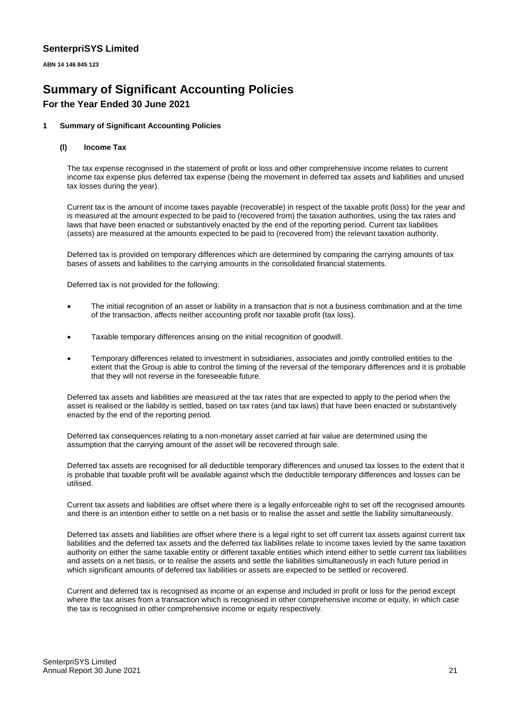**ABN 14 146 845 123**

# **Summary of Significant Accounting Policies For the Year Ended 30 June 2021**

#### **1 Summary of Significant Accounting Policies**

#### **(l) Income Tax**

The tax expense recognised in the statement of profit or loss and other comprehensive income relates to current income tax expense plus deferred tax expense (being the movement in deferred tax assets and liabilities and unused tax losses during the year).

Current tax is the amount of income taxes payable (recoverable) in respect of the taxable profit (loss) for the year and is measured at the amount expected to be paid to (recovered from) the taxation authorities, using the tax rates and laws that have been enacted or substantively enacted by the end of the reporting period. Current tax liabilities (assets) are measured at the amounts expected to be paid to (recovered from) the relevant taxation authority.

Deferred tax is provided on temporary differences which are determined by comparing the carrying amounts of tax bases of assets and liabilities to the carrying amounts in the consolidated financial statements.

Deferred tax is not provided for the following:

- The initial recognition of an asset or liability in a transaction that is not a business combination and at the time of the transaction, affects neither accounting profit nor taxable profit (tax loss).
- Taxable temporary differences arising on the initial recognition of goodwill.
- Temporary differences related to investment in subsidiaries, associates and jointly controlled entities to the extent that the Group is able to control the timing of the reversal of the temporary differences and it is probable that they will not reverse in the foreseeable future.

Deferred tax assets and liabilities are measured at the tax rates that are expected to apply to the period when the asset is realised or the liability is settled, based on tax rates (and tax laws) that have been enacted or substantively enacted by the end of the reporting period.

Deferred tax consequences relating to a non-monetary asset carried at fair value are determined using the assumption that the carrying amount of the asset will be recovered through sale.

Deferred tax assets are recognised for all deductible temporary differences and unused tax losses to the extent that it is probable that taxable profit will be available against which the deductible temporary differences and losses can be utilised.

Current tax assets and liabilities are offset where there is a legally enforceable right to set off the recognised amounts and there is an intention either to settle on a net basis or to realise the asset and settle the liability simultaneously.

Deferred tax assets and liabilities are offset where there is a legal right to set off current tax assets against current tax liabilities and the deferred tax assets and the deferred tax liabilities relate to income taxes levied by the same taxation authority on either the same taxable entity or different taxable entities which intend either to settle current tax liabilities and assets on a net basis, or to realise the assets and settle the liabilities simultaneously in each future period in which significant amounts of deferred tax liabilities or assets are expected to be settled or recovered.

Current and deferred tax is recognised as income or an expense and included in profit or loss for the period except where the tax arises from a transaction which is recognised in other comprehensive income or equity, in which case the tax is recognised in other comprehensive income or equity respectively.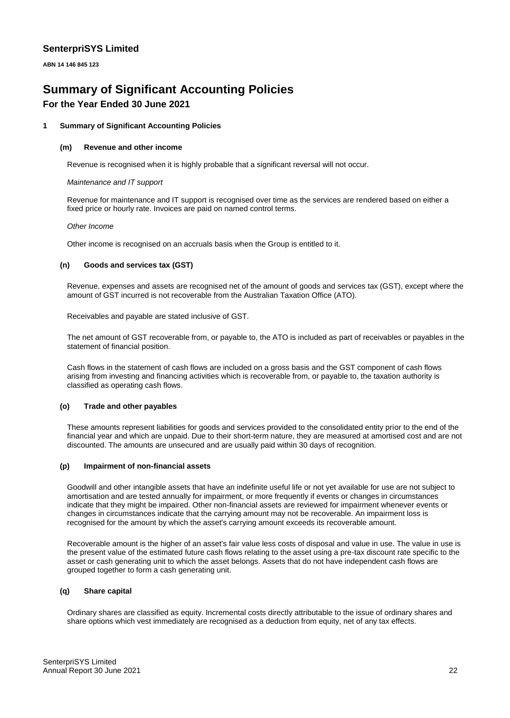**ABN 14 146 845 123**

# **Summary of Significant Accounting Policies For the Year Ended 30 June 2021**

#### **1 Summary of Significant Accounting Policies**

#### **(m) Revenue and other income**

Revenue is recognised when it is highly probable that a significant reversal will not occur.

#### *Maintenance and IT support*

Revenue for maintenance and IT support is recognised over time as the services are rendered based on either a fixed price or hourly rate. Invoices are paid on named control terms.

#### *Other Income*

Other income is recognised on an accruals basis when the Group is entitled to it.

#### **(n) Goods and services tax (GST)**

Revenue, expenses and assets are recognised net of the amount of goods and services tax (GST), except where the amount of GST incurred is not recoverable from the Australian Taxation Office (ATO).

Receivables and payable are stated inclusive of GST.

The net amount of GST recoverable from, or payable to, the ATO is included as part of receivables or payables in the statement of financial position.

Cash flows in the statement of cash flows are included on a gross basis and the GST component of cash flows arising from investing and financing activities which is recoverable from, or payable to, the taxation authority is classified as operating cash flows.

#### **(o) Trade and other payables**

These amounts represent liabilities for goods and services provided to the consolidated entity prior to the end of the financial year and which are unpaid. Due to their short-term nature, they are measured at amortised cost and are not discounted. The amounts are unsecured and are usually paid within 30 days of recognition.

#### **(p) Impairment of non-financial assets**

Goodwill and other intangible assets that have an indefinite useful life or not yet available for use are not subject to amortisation and are tested annually for impairment, or more frequently if events or changes in circumstances indicate that they might be impaired. Other non-financial assets are reviewed for impairment whenever events or changes in circumstances indicate that the carrying amount may not be recoverable. An impairment loss is recognised for the amount by which the asset's carrying amount exceeds its recoverable amount.

Recoverable amount is the higher of an asset's fair value less costs of disposal and value in use. The value in use is the present value of the estimated future cash flows relating to the asset using a pre-tax discount rate specific to the asset or cash generating unit to which the asset belongs. Assets that do not have independent cash flows are grouped together to form a cash generating unit.

#### **(q) Share capital**

Ordinary shares are classified as equity. Incremental costs directly attributable to the issue of ordinary shares and share options which vest immediately are recognised as a deduction from equity, net of any tax effects.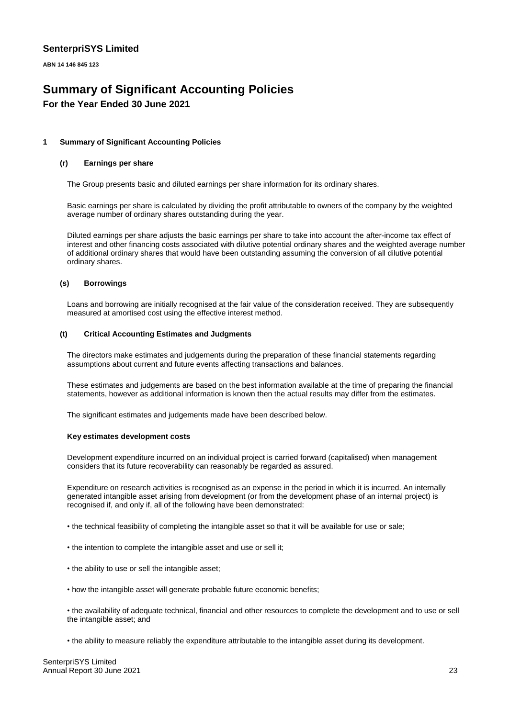**ABN 14 146 845 123**

# **Summary of Significant Accounting Policies For the Year Ended 30 June 2021**

#### **1 Summary of Significant Accounting Policies**

#### **(r) Earnings per share**

The Group presents basic and diluted earnings per share information for its ordinary shares.

Basic earnings per share is calculated by dividing the profit attributable to owners of the company by the weighted average number of ordinary shares outstanding during the year.

Diluted earnings per share adjusts the basic earnings per share to take into account the after-income tax effect of interest and other financing costs associated with dilutive potential ordinary shares and the weighted average number of additional ordinary shares that would have been outstanding assuming the conversion of all dilutive potential ordinary shares.

#### **(s) Borrowings**

Loans and borrowing are initially recognised at the fair value of the consideration received. They are subsequently measured at amortised cost using the effective interest method.

#### **(t) Critical Accounting Estimates and Judgments**

The directors make estimates and judgements during the preparation of these financial statements regarding assumptions about current and future events affecting transactions and balances.

These estimates and judgements are based on the best information available at the time of preparing the financial statements, however as additional information is known then the actual results may differ from the estimates.

The significant estimates and judgements made have been described below.

#### **Key estimates development costs**

Development expenditure incurred on an individual project is carried forward (capitalised) when management considers that its future recoverability can reasonably be regarded as assured.

Expenditure on research activities is recognised as an expense in the period in which it is incurred. An internally generated intangible asset arising from development (or from the development phase of an internal project) is recognised if, and only if, all of the following have been demonstrated:

• the technical feasibility of completing the intangible asset so that it will be available for use or sale;

- the intention to complete the intangible asset and use or sell it;
- the ability to use or sell the intangible asset;
- how the intangible asset will generate probable future economic benefits;

• the availability of adequate technical, financial and other resources to complete the development and to use or sell the intangible asset; and

• the ability to measure reliably the expenditure attributable to the intangible asset during its development.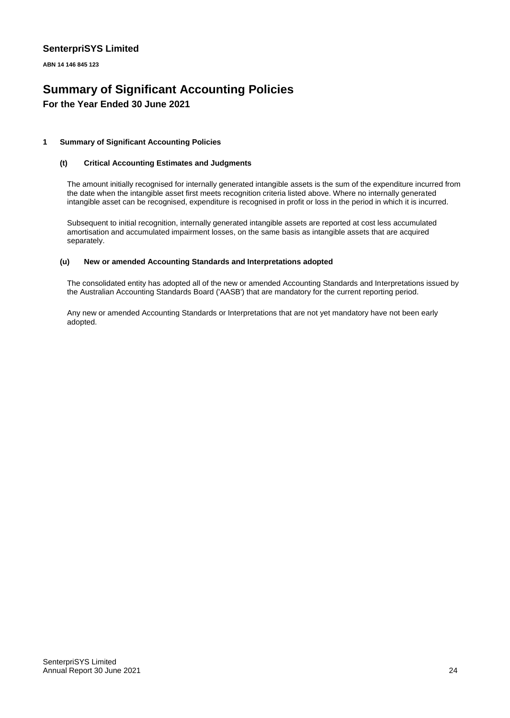**ABN 14 146 845 123**

# **Summary of Significant Accounting Policies For the Year Ended 30 June 2021**

#### **1 Summary of Significant Accounting Policies**

#### **(t) Critical Accounting Estimates and Judgments**

The amount initially recognised for internally generated intangible assets is the sum of the expenditure incurred from the date when the intangible asset first meets recognition criteria listed above. Where no internally generated intangible asset can be recognised, expenditure is recognised in profit or loss in the period in which it is incurred.

Subsequent to initial recognition, internally generated intangible assets are reported at cost less accumulated amortisation and accumulated impairment losses, on the same basis as intangible assets that are acquired separately.

#### **(u) New or amended Accounting Standards and Interpretations adopted**

The consolidated entity has adopted all of the new or amended Accounting Standards and Interpretations issued by the Australian Accounting Standards Board ('AASB') that are mandatory for the current reporting period.

Any new or amended Accounting Standards or Interpretations that are not yet mandatory have not been early adopted.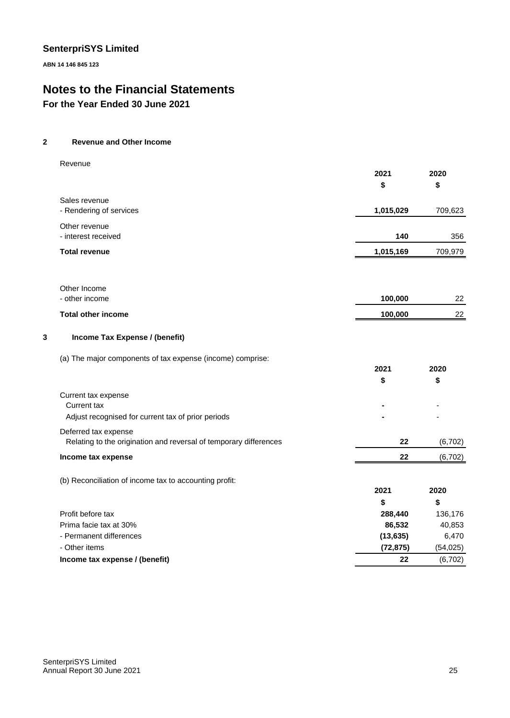**ABN 14 146 845 123**

# **Notes to the Financial Statements**

**For the Year Ended 30 June 2021**

#### **2 Revenue and Other Income**

|   | Revenue                                                           | 2021       | 2020       |
|---|-------------------------------------------------------------------|------------|------------|
|   |                                                                   | \$         | \$         |
|   | Sales revenue                                                     |            |            |
|   | - Rendering of services                                           | 1,015,029  | 709,623    |
|   | Other revenue<br>- interest received                              | 140        | 356        |
|   | <b>Total revenue</b>                                              | 1,015,169  | 709,979    |
|   | Other Income                                                      |            |            |
|   | - other income                                                    | 100,000    | 22         |
|   | <b>Total other income</b>                                         | 100,000    | 22         |
| 3 | Income Tax Expense / (benefit)                                    |            |            |
|   | (a) The major components of tax expense (income) comprise:        |            |            |
|   |                                                                   | 2021<br>\$ | 2020<br>\$ |
|   | Current tax expense                                               |            |            |
|   | Current tax                                                       |            |            |
|   | Adjust recognised for current tax of prior periods                |            |            |
|   | Deferred tax expense                                              |            |            |
|   | Relating to the origination and reversal of temporary differences | 22         | (6, 702)   |
|   | Income tax expense                                                | 22         | (6, 702)   |
|   | (b) Reconciliation of income tax to accounting profit:            |            |            |
|   |                                                                   | 2021       | 2020       |
|   |                                                                   | \$         | \$         |
|   | Profit before tax                                                 | 288,440    | 136,176    |
|   | Prima facie tax at 30%                                            | 86,532     | 40,853     |
|   | - Permanent differences                                           | (13, 635)  | 6,470      |
|   | - Other items                                                     | (72, 875)  | (54, 025)  |
|   | Income tax expense / (benefit)                                    | 22         | (6, 702)   |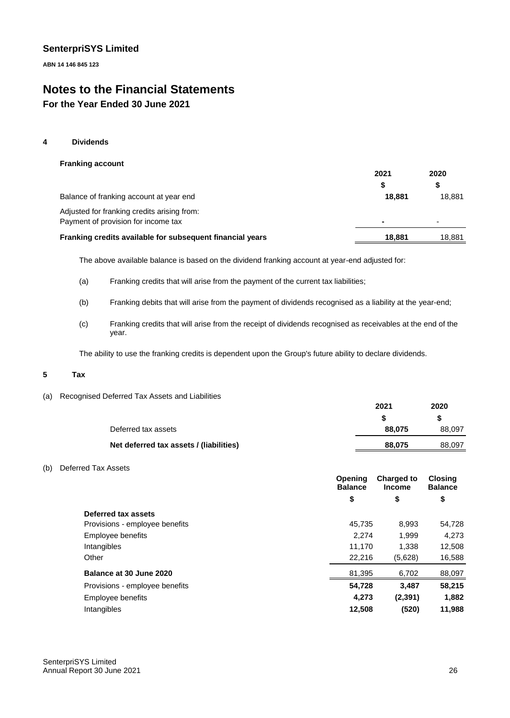**ABN 14 146 845 123**

# **Notes to the Financial Statements**

# **For the Year Ended 30 June 2021**

#### **4 Dividends**

#### **Franking account**

|                                                           | 2021                     | 2020                     |
|-----------------------------------------------------------|--------------------------|--------------------------|
|                                                           | S                        |                          |
| Balance of franking account at year end                   | 18.881                   | 18.881                   |
| Adjusted for franking credits arising from:               |                          |                          |
| Payment of provision for income tax                       | $\overline{\phantom{0}}$ | $\overline{\phantom{a}}$ |
| Franking credits available for subsequent financial years | 18,881                   | 18.881                   |
|                                                           |                          |                          |

The above available balance is based on the dividend franking account at year-end adjusted for:

- (a) Franking credits that will arise from the payment of the current tax liabilities;
- (b) Franking debits that will arise from the payment of dividends recognised as a liability at the year-end;
- (c) Franking credits that will arise from the receipt of dividends recognised as receivables at the end of the year.

The ability to use the franking credits is dependent upon the Group's future ability to declare dividends.

#### **5 Tax**

(a) Recognised Deferred Tax Assets and Liabilities

|                                         | 2021   | 2020   |
|-----------------------------------------|--------|--------|
|                                         |        | S      |
| Deferred tax assets                     | 88.075 | 88,097 |
| Net deferred tax assets / (liabilities) | 88,075 | 88,097 |
|                                         |        |        |

#### (b) Deferred Tax Assets

|                                | Opening<br><b>Balance</b> | <b>Charged to</b><br><b>Income</b> | <b>Closing</b><br><b>Balance</b> |
|--------------------------------|---------------------------|------------------------------------|----------------------------------|
|                                | \$                        | \$                                 | \$                               |
| Deferred tax assets            |                           |                                    |                                  |
| Provisions - employee benefits | 45.735                    | 8.993                              | 54,728                           |
| Employee benefits              | 2.274                     | 1,999                              | 4,273                            |
| Intangibles                    | 11,170                    | 1.338                              | 12,508                           |
| Other                          | 22,216                    | (5,628)                            | 16,588                           |
| Balance at 30 June 2020        | 81,395                    | 6,702                              | 88,097                           |
| Provisions - employee benefits | 54,728                    | 3,487                              | 58,215                           |
| Employee benefits              | 4,273                     | (2, 391)                           | 1,882                            |
| Intangibles                    | 12,508                    | (520)                              | 11,988                           |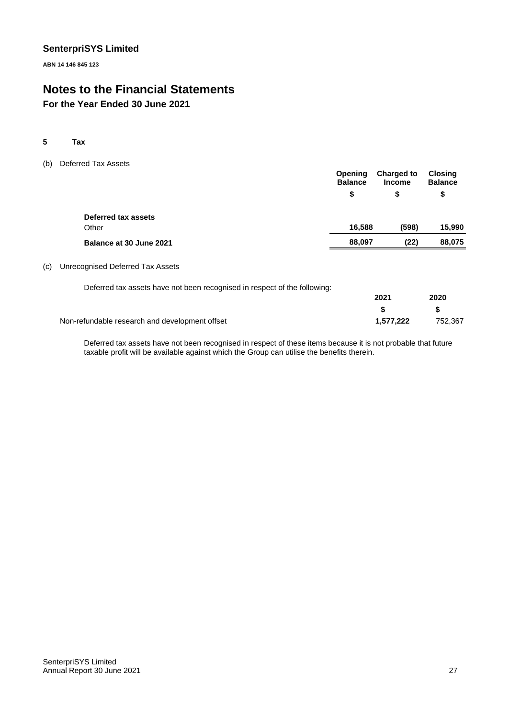**ABN 14 146 845 123**

# **Notes to the Financial Statements**

# **For the Year Ended 30 June 2021**

#### **5 Tax**

(b) Deferred Tax Assets

|                         | <b>Opening</b><br><b>Balance</b> | <b>Charged to</b><br><b>Income</b> | Closing<br><b>Balance</b> |
|-------------------------|----------------------------------|------------------------------------|---------------------------|
|                         | \$                               | \$                                 | \$                        |
| Deferred tax assets     |                                  |                                    |                           |
| Other                   | 16.588                           | (598)                              | 15,990                    |
| Balance at 30 June 2021 | 88,097                           | (22)                               | 88,075                    |
|                         |                                  |                                    |                           |

#### (c) Unrecognised Deferred Tax Assets

| Deferred tax assets have not been recognised in respect of the following: |      |      |
|---------------------------------------------------------------------------|------|------|
|                                                                           | 2021 | 2020 |
|                                                                           |      |      |

Non-refundable research and development offset **1,577,222** 752,367

Deferred tax assets have not been recognised in respect of these items because it is not probable that future taxable profit will be available against which the Group can utilise the benefits therein.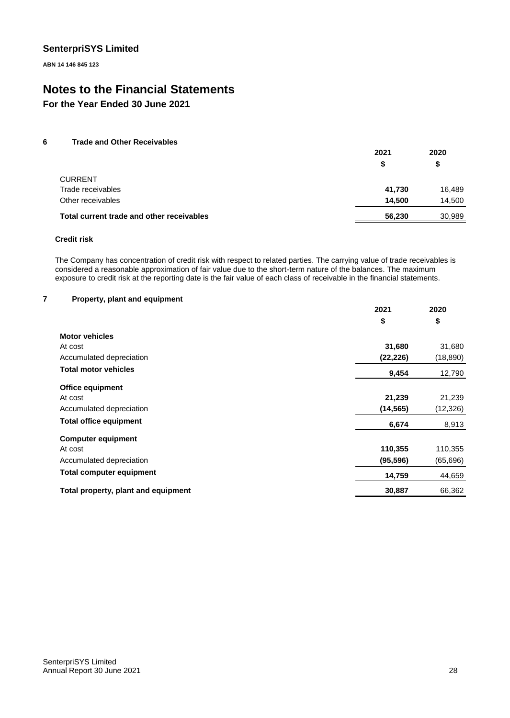**ABN 14 146 845 123**

# **Notes to the Financial Statements**

**For the Year Ended 30 June 2021**

#### **6 Trade and Other Receivables**

|                                           | 2021   | 2020   |  |
|-------------------------------------------|--------|--------|--|
|                                           | S      | S      |  |
| <b>CURRENT</b>                            |        |        |  |
| Trade receivables                         | 41,730 | 16,489 |  |
| Other receivables                         | 14.500 | 14,500 |  |
| Total current trade and other receivables | 56,230 | 30.989 |  |

#### **Credit risk**

The Company has concentration of credit risk with respect to related parties. The carrying value of trade receivables is considered a reasonable approximation of fair value due to the short-term nature of the balances. The maximum exposure to credit risk at the reporting date is the fair value of each class of receivable in the financial statements.

#### **7 Property, plant and equipment**

|                                     | 2021      | 2020      |
|-------------------------------------|-----------|-----------|
|                                     | \$        | \$        |
| <b>Motor vehicles</b>               |           |           |
| At cost                             | 31,680    | 31,680    |
| Accumulated depreciation            | (22, 226) | (18, 890) |
| <b>Total motor vehicles</b>         | 9,454     | 12,790    |
| <b>Office equipment</b>             |           |           |
| At cost                             | 21,239    | 21,239    |
| Accumulated depreciation            | (14, 565) | (12, 326) |
| <b>Total office equipment</b>       | 6,674     | 8,913     |
| <b>Computer equipment</b>           |           |           |
| At cost                             | 110,355   | 110,355   |
| Accumulated depreciation            | (95, 596) | (65, 696) |
| <b>Total computer equipment</b>     | 14,759    | 44,659    |
| Total property, plant and equipment | 30,887    | 66,362    |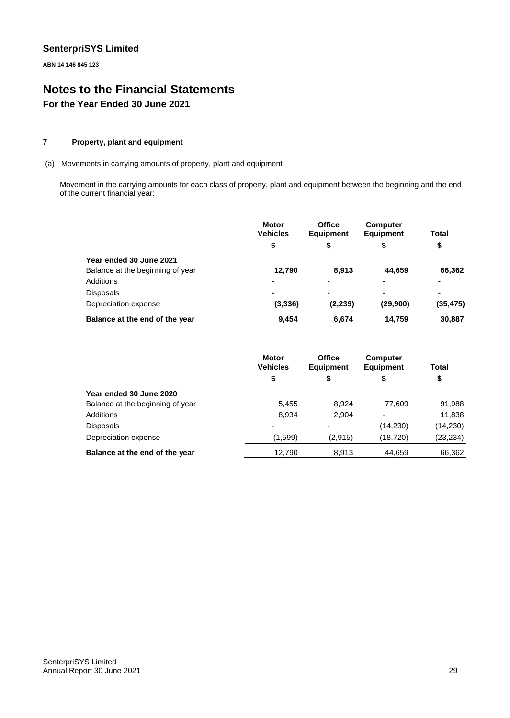**ABN 14 146 845 123**

# **Notes to the Financial Statements For the Year Ended 30 June 2021**

#### **7 Property, plant and equipment**

(a) Movements in carrying amounts of property, plant and equipment

Movement in the carrying amounts for each class of property, plant and equipment between the beginning and the end of the current financial year:

|                                  | <b>Motor</b><br><b>Vehicles</b> | <b>Office</b><br><b>Equipment</b> | <b>Computer</b><br><b>Equipment</b> | Total     |
|----------------------------------|---------------------------------|-----------------------------------|-------------------------------------|-----------|
|                                  | \$                              | \$                                | \$                                  | \$        |
| Year ended 30 June 2021          |                                 |                                   |                                     |           |
| Balance at the beginning of year | 12,790                          | 8,913                             | 44.659                              | 66,362    |
| Additions                        |                                 |                                   | $\blacksquare$                      | ۰         |
| <b>Disposals</b>                 |                                 |                                   | ۰                                   | ۰         |
| Depreciation expense             | (3, 336)                        | (2, 239)                          | (29,900)                            | (35, 475) |
| Balance at the end of the year   | 9.454                           | 6.674                             | 14.759                              | 30,887    |

|                                  | <b>Motor</b><br><b>Vehicles</b> | <b>Office</b><br><b>Equipment</b> | <b>Computer</b><br><b>Equipment</b> | Total     |
|----------------------------------|---------------------------------|-----------------------------------|-------------------------------------|-----------|
|                                  | \$                              | \$                                | \$                                  | \$        |
| Year ended 30 June 2020          |                                 |                                   |                                     |           |
| Balance at the beginning of year | 5,455                           | 8.924                             | 77.609                              | 91,988    |
| Additions                        | 8,934                           | 2.904                             | $\overline{\phantom{0}}$            | 11,838    |
| <b>Disposals</b>                 |                                 |                                   | (14, 230)                           | (14, 230) |
| Depreciation expense             | (1,599)                         | (2,915)                           | (18, 720)                           | (23, 234) |
| Balance at the end of the year   | 12.790                          | 8.913                             | 44.659                              | 66.362    |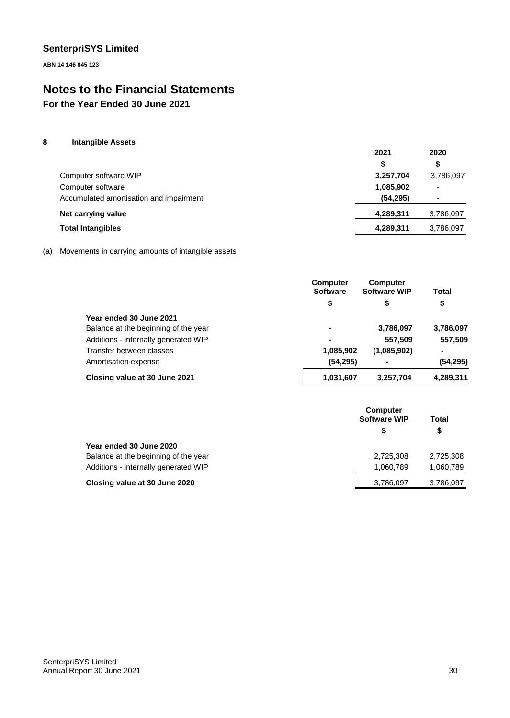**ABN 14 146 845 123**

# **Notes to the Financial Statements**

**For the Year Ended 30 June 2021**

#### **8 Intangible Assets**

|                                         | 2021      | 2020                     |
|-----------------------------------------|-----------|--------------------------|
|                                         | S         | \$                       |
| Computer software WIP                   | 3,257,704 | 3,786,097                |
| Computer software                       | 1,085,902 | $\overline{\phantom{a}}$ |
| Accumulated amortisation and impairment | (54, 295) |                          |
| Net carrying value                      | 4,289,311 | 3,786,097                |
| <b>Total Intangibles</b>                | 4,289,311 | 3,786,097                |

#### (a) Movements in carrying amounts of intangible assets

|                                      | <b>Computer</b><br><b>Software</b> | <b>Computer</b><br><b>Software WIP</b> | Total     |
|--------------------------------------|------------------------------------|----------------------------------------|-----------|
|                                      | \$                                 | \$                                     | \$        |
| Year ended 30 June 2021              |                                    |                                        |           |
| Balance at the beginning of the year | ۰                                  | 3,786,097                              | 3,786,097 |
| Additions - internally generated WIP | ۰                                  | 557,509                                | 557,509   |
| Transfer between classes             | 1,085,902                          | (1,085,902)                            | ۰         |
| Amortisation expense                 | (54, 295)                          |                                        | (54, 295) |
| Closing value at 30 June 2021        | 1,031,607                          | 3.257.704                              | 4,289,311 |

|                                      | <b>Computer</b><br><b>Software WIP</b><br>S | Total<br>\$ |
|--------------------------------------|---------------------------------------------|-------------|
| Year ended 30 June 2020              |                                             |             |
| Balance at the beginning of the year | 2,725,308                                   | 2.725.308   |
| Additions - internally generated WIP | 1.060.789                                   | 1,060,789   |
| Closing value at 30 June 2020        | 3,786,097                                   | 3,786,097   |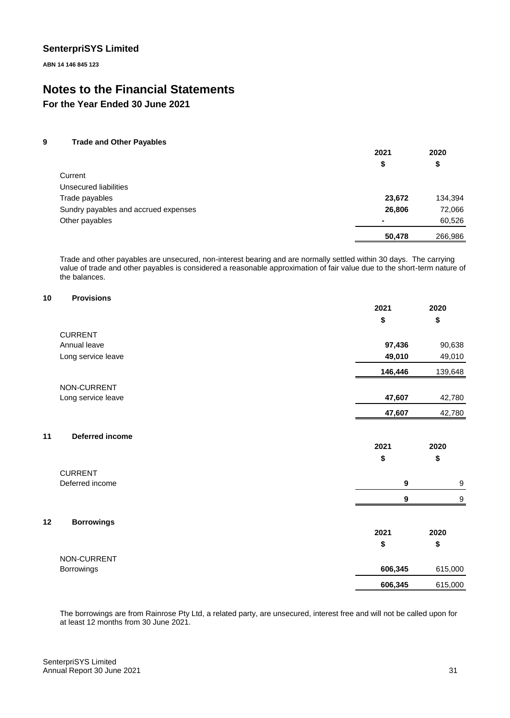**ABN 14 146 845 123**

# **Notes to the Financial Statements**

**For the Year Ended 30 June 2021**

#### **9 Trade and Other Payables**

| 2021   | 2020    |
|--------|---------|
| \$     | \$      |
|        |         |
|        |         |
| 23,672 | 134,394 |
| 26,806 | 72,066  |
|        | 60,526  |
| 50,478 | 266,986 |
|        |         |

Trade and other payables are unsecured, non-interest bearing and are normally settled within 30 days. The carrying value of trade and other payables is considered a reasonable approximation of fair value due to the short-term nature of the balances.

## **10 Provisions**

|    |                    | 2021             | 2020             |
|----|--------------------|------------------|------------------|
|    |                    | \$               | \$               |
|    | <b>CURRENT</b>     |                  |                  |
|    | Annual leave       | 97,436           | 90,638           |
|    | Long service leave | 49,010           | 49,010           |
|    |                    | 146,446          | 139,648          |
|    | NON-CURRENT        |                  |                  |
|    | Long service leave | 47,607           | 42,780           |
|    |                    | 47,607           | 42,780           |
| 11 | Deferred income    |                  |                  |
|    |                    | 2021             | 2020             |
|    |                    | \$               | \$               |
|    | <b>CURRENT</b>     |                  |                  |
|    | Deferred income    | $\boldsymbol{9}$ | 9                |
|    |                    | 9                | $\boldsymbol{9}$ |
| 12 | <b>Borrowings</b>  |                  |                  |
|    |                    | 2021             | 2020             |
|    |                    | \$               | \$               |
|    | NON-CURRENT        |                  |                  |
|    | Borrowings         | 606,345          | 615,000          |
|    |                    | 606,345          | 615,000          |

The borrowings are from Rainrose Pty Ltd, a related party, are unsecured, interest free and will not be called upon for at least 12 months from 30 June 2021.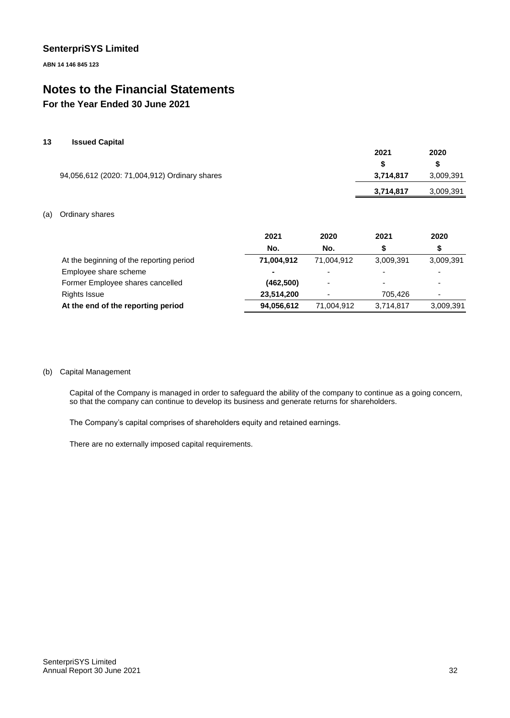**ABN 14 146 845 123**

# **Notes to the Financial Statements**

# **For the Year Ended 30 June 2021**

#### **13 Issued Capital**

|                                               | 2021      | 2020      |
|-----------------------------------------------|-----------|-----------|
| 94,056,612 (2020: 71,004,912) Ordinary shares |           | S         |
|                                               | 3,714,817 | 3,009,391 |
|                                               | 3,714,817 | 3,009,391 |

#### (a) Ordinary shares

|                                          | 2021       | 2020                     | 2021                     | 2020                     |
|------------------------------------------|------------|--------------------------|--------------------------|--------------------------|
|                                          | No.        | No.                      |                          | \$                       |
| At the beginning of the reporting period | 71,004,912 | 71,004,912               | 3.009.391                | 3,009,391                |
| Employee share scheme                    |            | $\overline{\phantom{0}}$ | $\overline{\phantom{0}}$ |                          |
| Former Employee shares cancelled         | (462, 500) | -                        | $\overline{\phantom{0}}$ | $\overline{\phantom{0}}$ |
| <b>Rights Issue</b>                      | 23,514,200 | -                        | 705.426                  | $\overline{\phantom{0}}$ |
| At the end of the reporting period       | 94,056,612 | 71,004,912               | 3,714,817                | 3,009,391                |

#### (b) Capital Management

Capital of the Company is managed in order to safeguard the ability of the company to continue as a going concern, so that the company can continue to develop its business and generate returns for shareholders.

The Company's capital comprises of shareholders equity and retained earnings.

There are no externally imposed capital requirements.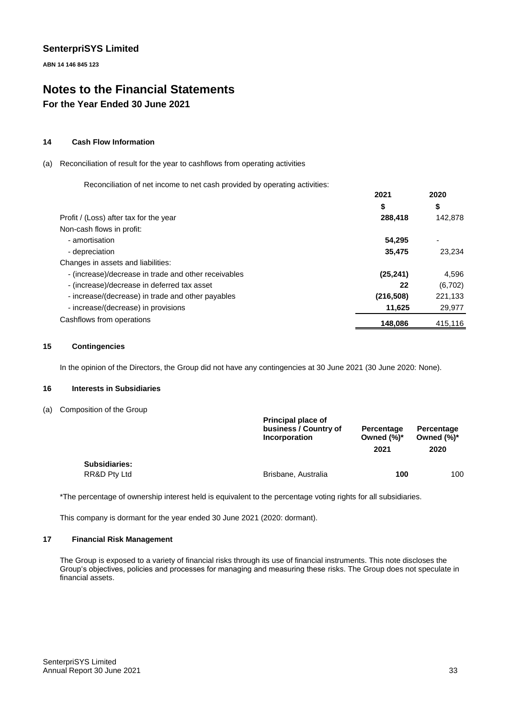**ABN 14 146 845 123**

# **Notes to the Financial Statements For the Year Ended 30 June 2021**

#### **14 Cash Flow Information**

#### (a) Reconciliation of result for the year to cashflows from operating activities

Reconciliation of net income to net cash provided by operating activities:

|                                                      | 2021       | 2020    |
|------------------------------------------------------|------------|---------|
|                                                      | \$         | \$      |
| Profit / (Loss) after tax for the year               | 288,418    | 142,878 |
| Non-cash flows in profit:                            |            |         |
| - amortisation                                       | 54.295     | ٠       |
| - depreciation                                       | 35,475     | 23.234  |
| Changes in assets and liabilities:                   |            |         |
| - (increase)/decrease in trade and other receivables | (25, 241)  | 4,596   |
| - (increase)/decrease in deferred tax asset          | 22         | (6,702) |
| - increase/(decrease) in trade and other payables    | (216, 508) | 221,133 |
| - increase/(decrease) in provisions                  | 11,625     | 29,977  |
| Cashflows from operations                            | 148,086    | 415,116 |

#### **15 Contingencies**

In the opinion of the Directors, the Group did not have any contingencies at 30 June 2021 (30 June 2020: None).

#### **16 Interests in Subsidiaries**

(a) Composition of the Group

| <b>Principal place of</b><br>business / Country of<br><b>Incorporation</b> | Percentage<br>Owned $(\%)^*$<br>2021 | Percentage<br>Owned $(\%)^*$<br>2020 |
|----------------------------------------------------------------------------|--------------------------------------|--------------------------------------|
|                                                                            |                                      | 100                                  |
|                                                                            | Brisbane, Australia                  | 100                                  |

\*The percentage of ownership interest held is equivalent to the percentage voting rights for all subsidiaries.

This company is dormant for the year ended 30 June 2021 (2020: dormant).

#### **17 Financial Risk Management**

The Group is exposed to a variety of financial risks through its use of financial instruments. This note discloses the Group's objectives, policies and processes for managing and measuring these risks. The Group does not speculate in financial assets.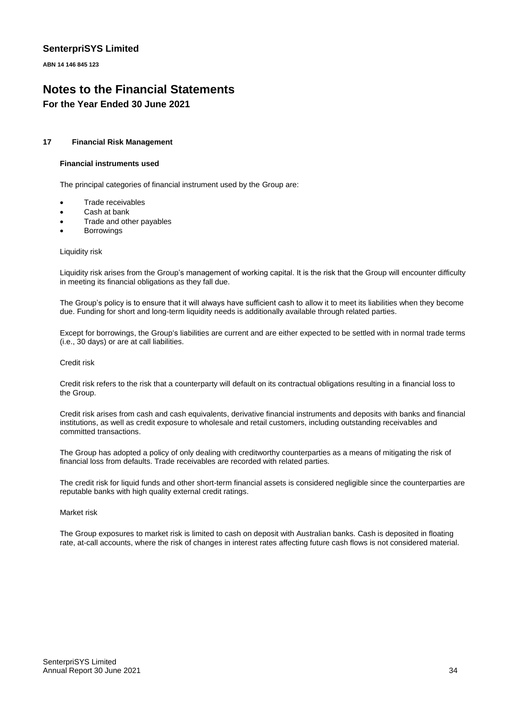**ABN 14 146 845 123**

# **Notes to the Financial Statements For the Year Ended 30 June 2021**

#### **17 Financial Risk Management**

#### **Financial instruments used**

The principal categories of financial instrument used by the Group are:

- Trade receivables
- Cash at bank
- Trade and other payables
- **Borrowings**

Liquidity risk

Liquidity risk arises from the Group's management of working capital. It is the risk that the Group will encounter difficulty in meeting its financial obligations as they fall due.

The Group's policy is to ensure that it will always have sufficient cash to allow it to meet its liabilities when they become due. Funding for short and long-term liquidity needs is additionally available through related parties.

Except for borrowings, the Group's liabilities are current and are either expected to be settled with in normal trade terms (i.e., 30 days) or are at call liabilities.

#### Credit risk

Credit risk refers to the risk that a counterparty will default on its contractual obligations resulting in a financial loss to the Group.

Credit risk arises from cash and cash equivalents, derivative financial instruments and deposits with banks and financial institutions, as well as credit exposure to wholesale and retail customers, including outstanding receivables and committed transactions.

The Group has adopted a policy of only dealing with creditworthy counterparties as a means of mitigating the risk of financial loss from defaults. Trade receivables are recorded with related parties.

The credit risk for liquid funds and other short-term financial assets is considered negligible since the counterparties are reputable banks with high quality external credit ratings.

#### Market risk

The Group exposures to market risk is limited to cash on deposit with Australian banks. Cash is deposited in floating rate, at-call accounts, where the risk of changes in interest rates affecting future cash flows is not considered material.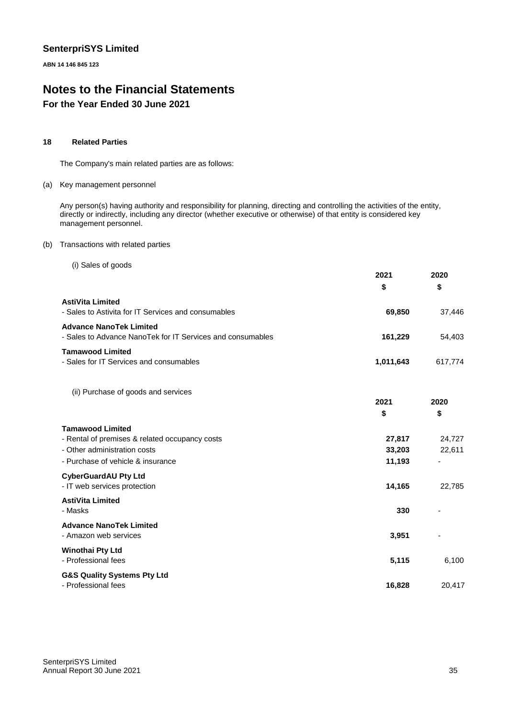**ABN 14 146 845 123**

# **Notes to the Financial Statements For the Year Ended 30 June 2021**

#### **18 Related Parties**

The Company's main related parties are as follows:

#### (a) Key management personnel

Any person(s) having authority and responsibility for planning, directing and controlling the activities of the entity, directly or indirectly, including any director (whether executive or otherwise) of that entity is considered key management personnel.

#### (b) Transactions with related parties

(i) Sales of goods

|                                                                                              | 2021<br>\$ | 2020<br>\$ |
|----------------------------------------------------------------------------------------------|------------|------------|
| <b>AstiVita Limited</b><br>- Sales to Astivita for IT Services and consumables               | 69,850     | 37,446     |
| <b>Advance NanoTek Limited</b><br>- Sales to Advance NanoTek for IT Services and consumables | 161,229    | 54.403     |
| <b>Tamawood Limited</b><br>- Sales for IT Services and consumables                           | 1,011,643  | 617.774    |

(ii) Purchase of goods and services

|        | LVLV   |
|--------|--------|
| \$     | \$     |
|        |        |
| 27,817 | 24,727 |
| 33,203 | 22,611 |
| 11,193 | ٠      |
|        |        |
| 14,165 | 22,785 |
|        |        |
| 330    |        |
|        |        |
| 3,951  |        |
|        |        |
| 5,115  | 6,100  |
|        |        |
| 16,828 | 20,417 |
|        | LVL I  |

**2021**

**2020**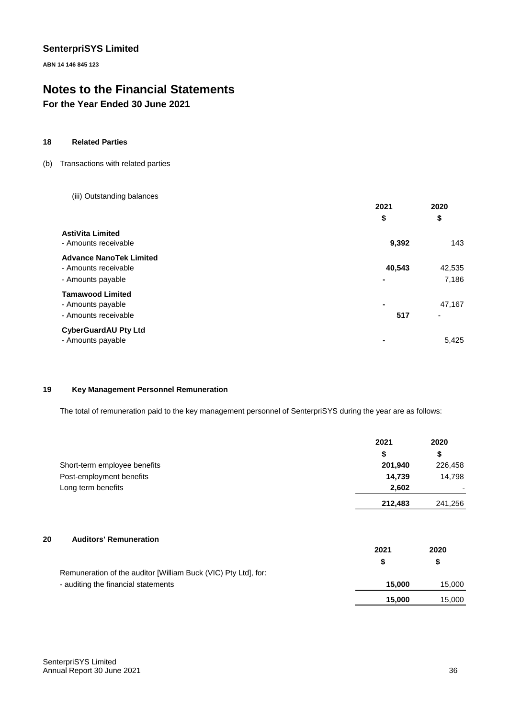**ABN 14 146 845 123**

# **Notes to the Financial Statements**

# **For the Year Ended 30 June 2021**

#### **18 Related Parties**

#### (b) Transactions with related parties

(iii) Outstanding balances

|                                                                             | 2021                     | 2020            |
|-----------------------------------------------------------------------------|--------------------------|-----------------|
|                                                                             | \$                       | \$              |
| <b>AstiVita Limited</b><br>- Amounts receivable                             | 9,392                    | 143             |
| <b>Advance NanoTek Limited</b><br>- Amounts receivable<br>- Amounts payable | 40,543<br>$\blacksquare$ | 42,535<br>7,186 |
| <b>Tamawood Limited</b><br>- Amounts payable<br>- Amounts receivable        | $\blacksquare$<br>517    | 47,167<br>٠     |
| <b>CyberGuardAU Pty Ltd</b><br>- Amounts payable                            |                          | 5,425           |

#### **19 Key Management Personnel Remuneration**

The total of remuneration paid to the key management personnel of SenterpriSYS during the year are as follows:

|                                                                | 2021    | 2020    |
|----------------------------------------------------------------|---------|---------|
|                                                                | \$      | \$      |
| Short-term employee benefits                                   | 201,940 | 226,458 |
| Post-employment benefits                                       | 14,739  | 14,798  |
| Long term benefits                                             | 2,602   |         |
|                                                                | 212,483 | 241,256 |
|                                                                |         |         |
| <b>Auditors' Remuneration</b><br>20                            | 2021    | 2020    |
|                                                                | \$      | \$      |
| Remuneration of the auditor [William Buck (VIC) Pty Ltd], for: |         |         |
| - auditing the financial statements                            | 15,000  | 15,000  |
|                                                                | 15,000  | 15,000  |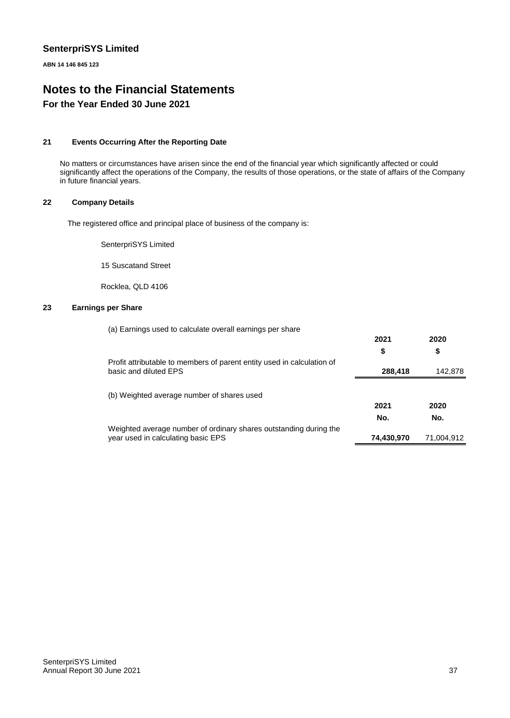**ABN 14 146 845 123**

# **Notes to the Financial Statements For the Year Ended 30 June 2021**

#### **21 Events Occurring After the Reporting Date**

No matters or circumstances have arisen since the end of the financial year which significantly affected or could significantly affect the operations of the Company, the results of those operations, or the state of affairs of the Company in future financial years.

#### **22 Company Details**

The registered office and principal place of business of the company is:

SenterpriSYS Limited

15 Suscatand Street

Rocklea, QLD 4106

#### **23 Earnings per Share**

|                                                                                                 | 2021       | 2020       |
|-------------------------------------------------------------------------------------------------|------------|------------|
|                                                                                                 | \$         | \$         |
| Profit attributable to members of parent entity used in calculation of<br>basic and diluted EPS | 288,418    | 142,878    |
|                                                                                                 |            |            |
| (b) Weighted average number of shares used                                                      |            |            |
|                                                                                                 | 2021       | 2020       |
|                                                                                                 | No.        | No.        |
| Weighted average number of ordinary shares outstanding during the                               |            |            |
| year used in calculating basic EPS                                                              | 74,430,970 | 71,004,912 |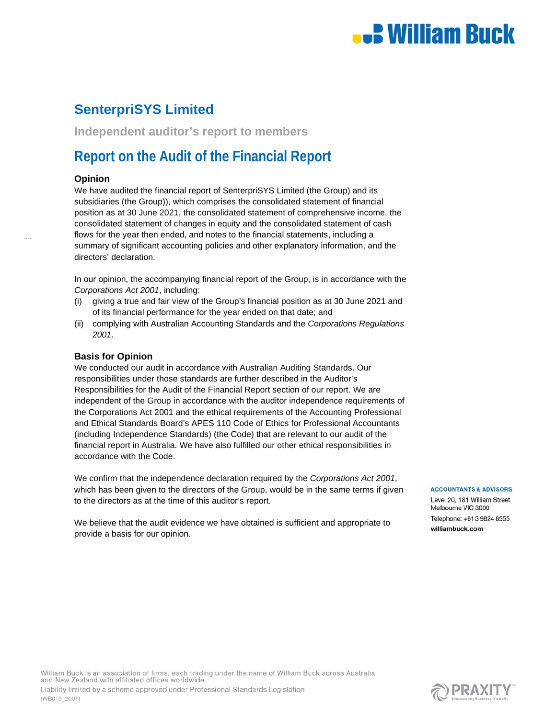

**Independent auditor's report to members**

# **Report on the Audit of the Financial Report**

#### **Opinion**

We have audited the financial report of SenterpriSYS Limited (the Group) and its subsidiaries (the Group)), which comprises the consolidated statement of financial position as at 30 June 2021, the consolidated statement of comprehensive income, the consolidated statement of changes in equity and the consolidated statement of cash flows for the year then ended, and notes to the financial statements, including a summary of significant accounting policies and other explanatory information, and the directors' declaration.

In our opinion, the accompanying financial report of the Group, is in accordance with the *Corporations Act 2001*, including:

- (i) giving a true and fair view of the Group's financial position as at 30 June 2021 and of its financial performance for the year ended on that date; and
- (ii) complying with Australian Accounting Standards and the *Corporations Regulations 2001*.

#### **Basis for Opinion**

(WB015\_2007)

We conducted our audit in accordance with Australian Auditing Standards. Our responsibilities under those standards are further described in the Auditor's Responsibilities for the Audit of the Financial Report section of our report. We are independent of the Group in accordance with the auditor independence requirements of the Corporations Act 2001 and the ethical requirements of the Accounting Professional and Ethical Standards Board's APES 110 Code of Ethics for Professional Accountants (including Independence Standards) (the Code) that are relevant to our audit of the financial report in Australia. We have also fulfilled our other ethical responsibilities in accordance with the Code.

We confirm that the independence declaration required by the *Corporations Act 2001*, which has been given to the directors of the Group, would be in the same terms if given to the directors as at the time of this auditor's report.

We believe that the audit evidence we have obtained is sufficient and appropriate to provide a basis for our opinion.

#### **ACCOUNTANTS & ADVISORS**

Level 20, 181 William Street Melbourne VIC 3000 Telephone: +61 3 9824 8555 williambuck.com

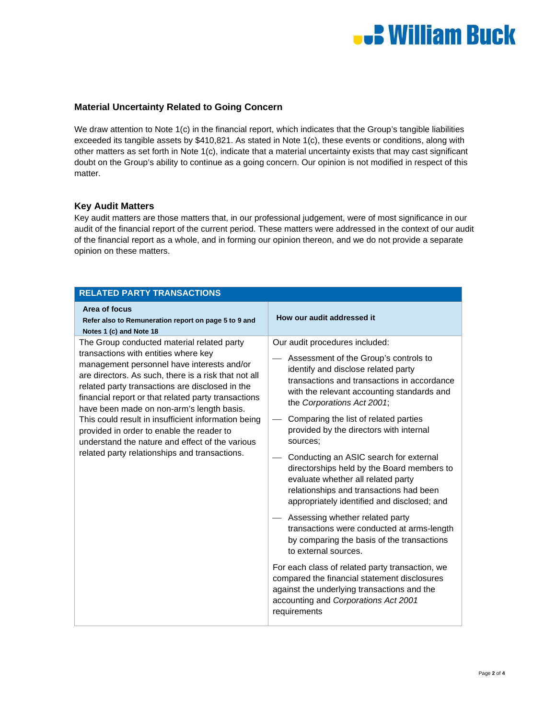

#### **Material Uncertainty Related to Going Concern**

We draw attention to Note 1(c) in the financial report, which indicates that the Group's tangible liabilities exceeded its tangible assets by \$410,821. As stated in Note 1(c), these events or conditions, along with other matters as set forth in Note 1(c), indicate that a material uncertainty exists that may cast significant doubt on the Group's ability to continue as a going concern. Our opinion is not modified in respect of this matter.

#### **Key Audit Matters**

Key audit matters are those matters that, in our professional judgement, were of most significance in our audit of the financial report of the current period. These matters were addressed in the context of our audit of the financial report as a whole, and in forming our opinion thereon, and we do not provide a separate opinion on these matters.

| <b>RELATED PARTY TRANSACTIONS</b>                                                                                                                                                                                                                                                                                                                                                                                                                                                                                                                       |                                                                                                                                                                                                                                                                                                                                                                                                                                                                                                                                                                                                                                                                                                                                                                                                                                                                                                                                    |  |  |
|---------------------------------------------------------------------------------------------------------------------------------------------------------------------------------------------------------------------------------------------------------------------------------------------------------------------------------------------------------------------------------------------------------------------------------------------------------------------------------------------------------------------------------------------------------|------------------------------------------------------------------------------------------------------------------------------------------------------------------------------------------------------------------------------------------------------------------------------------------------------------------------------------------------------------------------------------------------------------------------------------------------------------------------------------------------------------------------------------------------------------------------------------------------------------------------------------------------------------------------------------------------------------------------------------------------------------------------------------------------------------------------------------------------------------------------------------------------------------------------------------|--|--|
| Area of focus<br>Refer also to Remuneration report on page 5 to 9 and<br>Notes 1 (c) and Note 18                                                                                                                                                                                                                                                                                                                                                                                                                                                        | How our audit addressed it                                                                                                                                                                                                                                                                                                                                                                                                                                                                                                                                                                                                                                                                                                                                                                                                                                                                                                         |  |  |
| The Group conducted material related party<br>transactions with entities where key<br>management personnel have interests and/or<br>are directors. As such, there is a risk that not all<br>related party transactions are disclosed in the<br>financial report or that related party transactions<br>have been made on non-arm's length basis.<br>This could result in insufficient information being<br>provided in order to enable the reader to<br>understand the nature and effect of the various<br>related party relationships and transactions. | Our audit procedures included:<br>Assessment of the Group's controls to<br>identify and disclose related party<br>transactions and transactions in accordance<br>with the relevant accounting standards and<br>the Corporations Act 2001;<br>Comparing the list of related parties<br>provided by the directors with internal<br>sources:<br>Conducting an ASIC search for external<br>directorships held by the Board members to<br>evaluate whether all related party<br>relationships and transactions had been<br>appropriately identified and disclosed; and<br>Assessing whether related party<br>transactions were conducted at arms-length<br>by comparing the basis of the transactions<br>to external sources.<br>For each class of related party transaction, we<br>compared the financial statement disclosures<br>against the underlying transactions and the<br>accounting and Corporations Act 2001<br>requirements |  |  |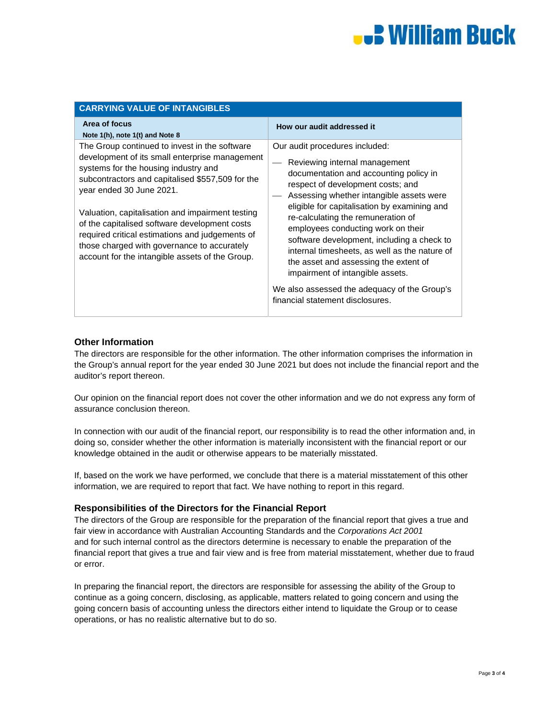# **E William Buck**

| <b>CARRYING VALUE OF INTANGIBLES</b>                                                                                                                                                                                                                                                                                                                                                                                                                                              |                                                                                                                                                                                                                                                                                                                                                                                                                                                                                                                                                                                        |  |
|-----------------------------------------------------------------------------------------------------------------------------------------------------------------------------------------------------------------------------------------------------------------------------------------------------------------------------------------------------------------------------------------------------------------------------------------------------------------------------------|----------------------------------------------------------------------------------------------------------------------------------------------------------------------------------------------------------------------------------------------------------------------------------------------------------------------------------------------------------------------------------------------------------------------------------------------------------------------------------------------------------------------------------------------------------------------------------------|--|
| Area of focus<br>Note 1(h), note 1(t) and Note 8                                                                                                                                                                                                                                                                                                                                                                                                                                  | How our audit addressed it                                                                                                                                                                                                                                                                                                                                                                                                                                                                                                                                                             |  |
| The Group continued to invest in the software<br>development of its small enterprise management<br>systems for the housing industry and<br>subcontractors and capitalised \$557,509 for the<br>year ended 30 June 2021.<br>Valuation, capitalisation and impairment testing<br>of the capitalised software development costs<br>required critical estimations and judgements of<br>those charged with governance to accurately<br>account for the intangible assets of the Group. | Our audit procedures included:<br>Reviewing internal management<br>documentation and accounting policy in<br>respect of development costs; and<br>Assessing whether intangible assets were<br>eligible for capitalisation by examining and<br>re-calculating the remuneration of<br>employees conducting work on their<br>software development, including a check to<br>internal timesheets, as well as the nature of<br>the asset and assessing the extent of<br>impairment of intangible assets.<br>We also assessed the adequacy of the Group's<br>financial statement disclosures. |  |

#### **Other Information**

The directors are responsible for the other information. The other information comprises the information in the Group's annual report for the year ended 30 June 2021 but does not include the financial report and the auditor's report thereon.

Our opinion on the financial report does not cover the other information and we do not express any form of assurance conclusion thereon.

In connection with our audit of the financial report, our responsibility is to read the other information and, in doing so, consider whether the other information is materially inconsistent with the financial report or our knowledge obtained in the audit or otherwise appears to be materially misstated.

If, based on the work we have performed, we conclude that there is a material misstatement of this other information, we are required to report that fact. We have nothing to report in this regard.

#### **Responsibilities of the Directors for the Financial Report**

The directors of the Group are responsible for the preparation of the financial report that gives a true and fair view in accordance with Australian Accounting Standards and the *Corporations Act 2001*  and for such internal control as the directors determine is necessary to enable the preparation of the financial report that gives a true and fair view and is free from material misstatement, whether due to fraud or error.

In preparing the financial report, the directors are responsible for assessing the ability of the Group to continue as a going concern, disclosing, as applicable, matters related to going concern and using the going concern basis of accounting unless the directors either intend to liquidate the Group or to cease operations, or has no realistic alternative but to do so.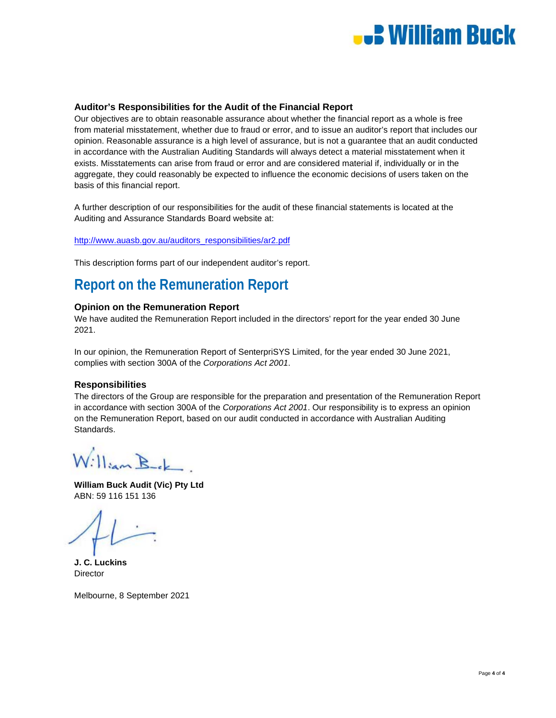

#### **Auditor's Responsibilities for the Audit of the Financial Report**

Our objectives are to obtain reasonable assurance about whether the financial report as a whole is free from material misstatement, whether due to fraud or error, and to issue an auditor's report that includes our opinion. Reasonable assurance is a high level of assurance, but is not a guarantee that an audit conducted in accordance with the Australian Auditing Standards will always detect a material misstatement when it exists. Misstatements can arise from fraud or error and are considered material if, individually or in the aggregate, they could reasonably be expected to influence the economic decisions of users taken on the basis of this financial report.

A further description of our responsibilities for the audit of these financial statements is located at the Auditing and Assurance Standards Board website at:

http://www.auasb.gov.au/auditors\_responsibilities/ar2.pdf

This description forms part of our independent auditor's report.

# **Report on the Remuneration Report**

#### **Opinion on the Remuneration Report**

We have audited the Remuneration Report included in the directors' report for the year ended 30 June 2021.

In our opinion, the Remuneration Report of SenterpriSYS Limited, for the year ended 30 June 2021, complies with section 300A of the *Corporations Act 2001*.

#### **Responsibilities**

The directors of the Group are responsible for the preparation and presentation of the Remuneration Report in accordance with section 300A of the *Corporations Act 2001*. Our responsibility is to express an opinion on the Remuneration Report, based on our audit conducted in accordance with Australian Auditing Standards.

William Bek

**William Buck Audit (Vic) Pty Ltd**  ABN: 59 116 151 136

**J. C. Luckins Director** 

Melbourne, 8 September 2021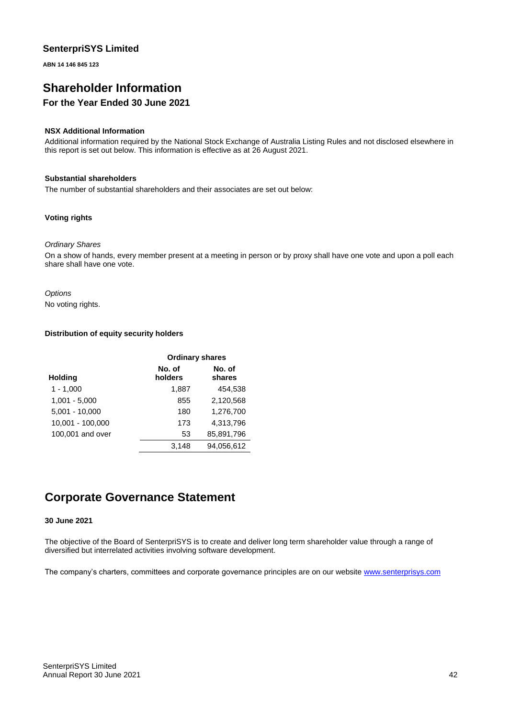**ABN 14 146 845 123**

# **Shareholder Information**

# **For the Year Ended 30 June 2021**

#### **NSX Additional Information**

Additional information required by the National Stock Exchange of Australia Listing Rules and not disclosed elsewhere in this report is set out below. This information is effective as at 26 August 2021.

#### **Substantial shareholders**

The number of substantial shareholders and their associates are set out below:

#### **Voting rights**

#### *Ordinary Shares*

On a show of hands, every member present at a meeting in person or by proxy shall have one vote and upon a poll each share shall have one vote.

*Options* No voting rights.

#### **Distribution of equity security holders**

|                  | <b>Ordinary shares</b> |                  |
|------------------|------------------------|------------------|
| <b>Holding</b>   | No. of<br>holders      | No. of<br>shares |
| $1 - 1,000$      | 1,887                  | 454.538          |
| $1,001 - 5,000$  | 855                    | 2,120,568        |
| $5,001 - 10,000$ | 180                    | 1,276,700        |
| 10,001 - 100,000 | 173                    | 4,313,796        |
| 100,001 and over | 53                     | 85,891,796       |
|                  | 3.148                  | 94.056.612       |

# **Corporate Governance Statement**

#### **30 June 2021**

The objective of the Board of SenterpriSYS is to create and deliver long term shareholder value through a range of diversified but interrelated activities involving software development.

The company's charters, committees and corporate governance principles are on our website www.senterprisys.com